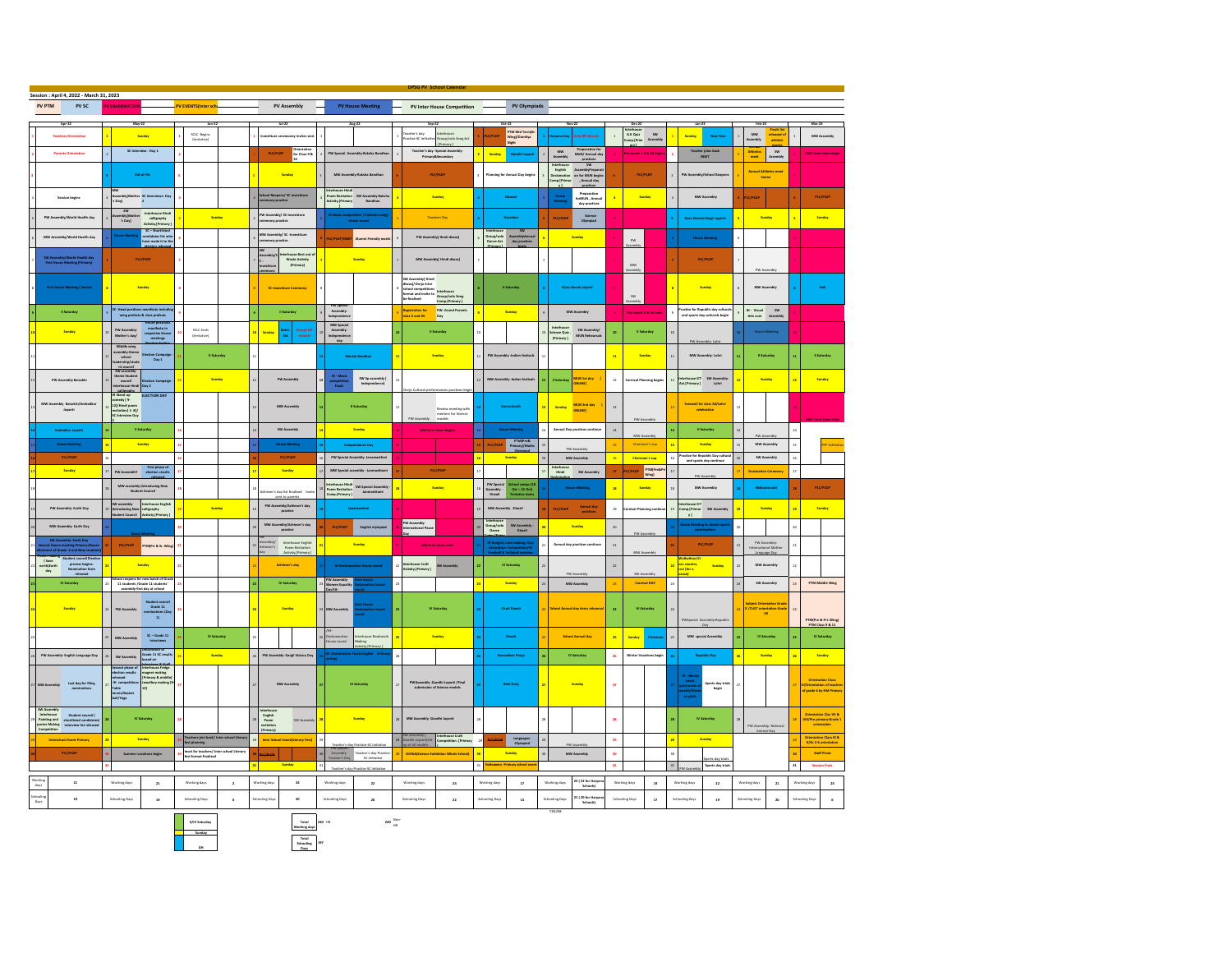|                                             | Session : April 4, 2022 - March 31, 2023                               |                                                                                                                  |                                                                                |                                                                    |              |                               |                                                     |                                 |                                                                                |                                                                 |                          |                                                                                       |               |                                                                                    |                         |                                                  |                                                                                                                                                    |                                                              |                         |                                           |                      |                                                  |
|---------------------------------------------|------------------------------------------------------------------------|------------------------------------------------------------------------------------------------------------------|--------------------------------------------------------------------------------|--------------------------------------------------------------------|--------------|-------------------------------|-----------------------------------------------------|---------------------------------|--------------------------------------------------------------------------------|-----------------------------------------------------------------|--------------------------|---------------------------------------------------------------------------------------|---------------|------------------------------------------------------------------------------------|-------------------------|--------------------------------------------------|----------------------------------------------------------------------------------------------------------------------------------------------------|--------------------------------------------------------------|-------------------------|-------------------------------------------|----------------------|--------------------------------------------------|
| PV PTM                                      | PV SC                                                                  | V EXAMINATION                                                                                                    |                                                                                | PV EVENTS(Inter sch                                                |              |                               | <b>PV Assembly</b>                                  |                                 | <b>PV House Meeting</b>                                                        | PV Inter House Competition                                      |                          | PV Olympiads                                                                          |               |                                                                                    |                         |                                                  |                                                                                                                                                    |                                                              |                         |                                           |                      |                                                  |
|                                             |                                                                        |                                                                                                                  |                                                                                |                                                                    |              |                               |                                                     |                                 |                                                                                |                                                                 |                          |                                                                                       |               |                                                                                    |                         |                                                  |                                                                                                                                                    |                                                              |                         |                                           |                      |                                                  |
|                                             |                                                                        |                                                                                                                  |                                                                                |                                                                    |              |                               |                                                     |                                 |                                                                                |                                                                 |                          |                                                                                       |               |                                                                                    |                         |                                                  |                                                                                                                                                    |                                                              |                         |                                           |                      |                                                  |
|                                             |                                                                        | Sunday                                                                                                           |                                                                                | SCLC Begins<br>(tentative)                                         |              |                               |                                                     |                                 |                                                                                | acher's day                                                     |                          | PTM Mid Termi                                                                         |               |                                                                                    |                         | internouse<br>G.X Quiz 5W<br>Comp.(Prim Assembly | <b>Sunday</b>                                                                                                                                      | New Year                                                     | MW<br>\ssembly          | eleased<br>athletic                       |                      | MW Assembly                                      |
|                                             |                                                                        |                                                                                                                  |                                                                                |                                                                    |              |                               |                                                     |                                 |                                                                                | ractice-SC initial<br>[Primary]                                 | oup/solo Song Act        | .<br>Wing]/Dandiya<br>Nisht                                                           |               |                                                                                    |                         |                                                  |                                                                                                                                                    |                                                              |                         |                                           |                      |                                                  |
|                                             | <b>Parents Orientation</b>                                             | SC Interview - Day 1                                                                                             |                                                                                |                                                                    |              | $\mathsf{PIC}/\mathsf{PIDP}$  | Orientation<br>for Class 9 &                        |                                 | <b>PW Special Assembly-Raksha Bandi</b>                                        | Teacher's day -Special Assembly<br>Primary&Secondary            |                          | Sunday<br>Gandhi Jayant                                                               |               | Preparation for<br>MUN/ Annual day<br>MW<br>Assembl                                |                         | Pre board 1 X & XII begi                         |                                                                                                                                                    | Teacher joins back<br>INSET                                  | Athletics<br>meet       | SW<br>ksembly                             |                      | <b>DIO Term Exam b</b>                           |
|                                             |                                                                        |                                                                                                                  |                                                                                |                                                                    |              |                               |                                                     |                                 |                                                                                |                                                                 |                          |                                                                                       |               | $\begin{array}{c} \text{onctions} \\\\ \text{SW} \end{array}$                      |                         |                                                  |                                                                                                                                                    |                                                              |                         |                                           |                      |                                                  |
|                                             |                                                                        | <b>District</b>                                                                                                  |                                                                                |                                                                    |              |                               | Sunday                                              |                                 | MW Assembly-Raksha Bandha                                                      | <b>PLC/PLDP</b>                                                 |                          | <b>Planning for Annual Day begin</b>                                                  |               | Interhouse<br>English<br>SW<br>AssemblyPreparation<br>for MUN begins<br>Annual day |                         | PLC/PLDP                                         | FW Assembly/School Re                                                                                                                              |                                                              |                         | <b>Annual Athle</b><br>Senio              |                      |                                                  |
|                                             |                                                                        |                                                                                                                  |                                                                                |                                                                    |              |                               |                                                     |                                 |                                                                                |                                                                 |                          |                                                                                       |               | vocarnacı<br>xmp.{Prin<br>practices<br>v1                                          |                         |                                                  |                                                                                                                                                    |                                                              |                         |                                           |                      |                                                  |
|                                             |                                                                        |                                                                                                                  |                                                                                |                                                                    |              |                               |                                                     | <b>Iball stupin</b>             |                                                                                | Sunday                                                          |                          |                                                                                       |               | Preparation<br>forMUN, Annua                                                       |                         | Sunday                                           |                                                                                                                                                    | MW Assembly                                                  |                         |                                           |                      | PLC/PLDS                                         |
|                                             | <b>Session begins</b>                                                  | Assembly[Mother SC interviews-Day<br>'s Day] 2                                                                   |                                                                                |                                                                    |              |                               | School Reopens/ SC investiture<br>ceremony practice | wity.[Primary                   | em Recitation <i>SW A</i> ssembly-Raksh<br>tivity.[Primary Bandhan             |                                                                 |                          |                                                                                       |               | -<br>House<br>Meeting<br>day practices                                             | $\overline{\textbf{a}}$ |                                                  |                                                                                                                                                    |                                                              | /PLDP                   |                                           |                      |                                                  |
|                                             |                                                                        | sw                                                                                                               |                                                                                |                                                                    |              | PW Assembly/ SC-Investiture   |                                                     |                                 |                                                                                |                                                                 |                          |                                                                                       |               |                                                                                    |                         |                                                  |                                                                                                                                                    |                                                              |                         |                                           |                      |                                                  |
|                                             | PW Assembly/World Health day                                           |                                                                                                                  |                                                                                | Sunday                                                             |              |                               |                                                     |                                 |                                                                                | <b>Teachers Day</b>                                             |                          |                                                                                       |               | Science<br>Olympiad<br>PLC/PLD                                                     |                         |                                                  |                                                                                                                                                    | <b>Guru Govind Singh Javant</b>                              |                         | Sunday                                    |                      | Sunday                                           |
|                                             |                                                                        |                                                                                                                  |                                                                                |                                                                    |              |                               |                                                     |                                 |                                                                                |                                                                 |                          |                                                                                       |               |                                                                                    |                         |                                                  |                                                                                                                                                    |                                                              |                         |                                           |                      |                                                  |
|                                             | MW Assembly/World Health day                                           |                                                                                                                  |                                                                                |                                                                    |              | mony practice                 | MW Assembly/ SC -Investiture                        |                                 | Alumni Priendiv m                                                              | PW Assembly[ Nindi diwas]                                       |                          | SW<br>AssemblyAn<br>day practi<br>Group/solo<br>Dance Act                             |               | Sunday                                                                             |                         | ow                                               |                                                                                                                                                    |                                                              |                         |                                           |                      |                                                  |
|                                             |                                                                        |                                                                                                                  |                                                                                |                                                                    |              |                               |                                                     |                                 |                                                                                |                                                                 |                          |                                                                                       |               |                                                                                    |                         |                                                  |                                                                                                                                                    |                                                              |                         |                                           |                      |                                                  |
|                                             | SW Assembly/World Health day<br>First House Meeting (Primary)          | PLC/PLDF                                                                                                         |                                                                                |                                                                    |              |                               | rhouse Best out<br>Waste Activity<br>(Primary)      |                                 | Sunday                                                                         | MW Assembly[ Hindi diwas]                                       |                          |                                                                                       |               |                                                                                    |                         |                                                  |                                                                                                                                                    | PLC/PLDF                                                     |                         |                                           |                      |                                                  |
|                                             |                                                                        |                                                                                                                  |                                                                                |                                                                    |              |                               |                                                     |                                 |                                                                                |                                                                 |                          |                                                                                       |               |                                                                                    |                         | MW<br>semb                                       |                                                                                                                                                    |                                                              |                         |                                           |                      |                                                  |
|                                             |                                                                        |                                                                                                                  |                                                                                |                                                                    |              |                               |                                                     |                                 |                                                                                | SW Assembly[ Hindi<br>diwas]/Oorja Inter                        |                          |                                                                                       |               |                                                                                    |                         |                                                  |                                                                                                                                                    |                                                              |                         |                                           |                      |                                                  |
|                                             |                                                                        | Sunday                                                                                                           |                                                                                |                                                                    |              |                               |                                                     |                                 |                                                                                | school competitions<br>format and invite to                     |                          | Il Saturday                                                                           |               |                                                                                    |                         |                                                  |                                                                                                                                                    | Sunday                                                       |                         | MW Assembly                               |                      |                                                  |
|                                             |                                                                        |                                                                                                                  |                                                                                |                                                                    |              |                               |                                                     |                                 |                                                                                | Interhouse<br>Group/solo Song<br>be finalised<br>Comp.[Primary] |                          |                                                                                       |               |                                                                                    |                         | <b>SW</b>                                        |                                                                                                                                                    |                                                              |                         |                                           |                      |                                                  |
|                                             | <b>Il Saturday</b>                                                     |                                                                                                                  |                                                                                |                                                                    |              |                               | <b>E</b> Saturday                                   | W Spe                           |                                                                                |                                                                 |                          | Sunday                                                                                |               | MW Assembly                                                                        | $\mathbf{g}$            |                                                  | Practice for Republic day cultural<br>and sports day culturals begin                                                                               |                                                              |                         |                                           |                      |                                                  |
|                                             |                                                                        | -<br>Head positions manifesto inclus<br>wing prefects & class prefects                                           |                                                                                |                                                                    |              |                               |                                                     | Assembly-<br>Idependence        |                                                                                | PW- Grand Parents<br>Day<br>agistration for<br>lass X and XII   |                          |                                                                                       |               |                                                                                    |                         | Pre board X & XII ends                           |                                                                                                                                                    |                                                              |                         | <b>M - Visual 5W</b><br>Arts com Assembly |                      |                                                  |
|                                             | Sindsa                                                                 |                                                                                                                  |                                                                                |                                                                    |              |                               |                                                     | MW Special                      |                                                                                | Il Saturday                                                     |                          |                                                                                       |               |                                                                                    |                         | <b>Extended</b>                                  |                                                                                                                                                    |                                                              |                         |                                           |                      |                                                  |
|                                             |                                                                        | PW Assembly<br>Mother's day/                                                                                     | manifesto in<br>respective Hous<br>meetings                                    | SCLC Ends<br>(tentative)                                           |              |                               | Bakri<br>Eid<br>Iscopt H<br>schools                 | Assembly<br>Independence<br>Gay |                                                                                |                                                                 |                          |                                                                                       |               | Interhouse<br> dence Quiz .<br> Primary ]<br>SW Assembly/<br>MUN Rebearsal         | $\,$                    |                                                  |                                                                                                                                                    |                                                              |                         |                                           |                      |                                                  |
|                                             |                                                                        |                                                                                                                  |                                                                                |                                                                    |              |                               |                                                     |                                 |                                                                                |                                                                 |                          |                                                                                       |               |                                                                                    |                         |                                                  | PW A                                                                                                                                               |                                                              |                         |                                           |                      |                                                  |
|                                             |                                                                        | Middle wing<br>ssembly-them<br>school<br>udership/stud                                                           | on Campaig<br>Day 1                                                            | <b>Il Saturday</b>                                                 |              |                               |                                                     |                                 | <b>Raksha Bandhan</b>                                                          | Sunday                                                          |                          | PW Assembly -Indian festival                                                          |               |                                                                                    | $\mathbf{H}$            | Sunday                                           | $\overline{1}$                                                                                                                                     | MW Assembly- Lohri                                           |                         | <b>E</b> Saturday                         |                      | Il Saturda                                       |
|                                             |                                                                        |                                                                                                                  |                                                                                |                                                                    |              |                               |                                                     |                                 |                                                                                |                                                                 |                          |                                                                                       |               |                                                                                    |                         |                                                  |                                                                                                                                                    |                                                              |                         |                                           |                      |                                                  |
|                                             |                                                                        | exaceringy<br>trusted<br>SW assembly-<br>theme Student<br>council Election<br>Interhouse Hindi<br>Allowsky Day 2 |                                                                                |                                                                    |              |                               |                                                     | $\mathbf{B}$ - Masic            |                                                                                |                                                                 |                          | MW Asse                                                                               |               |                                                                                    |                         |                                                  |                                                                                                                                                    |                                                              |                         |                                           |                      | Sinday                                           |
|                                             | PW Assembly Balsakhi                                                   |                                                                                                                  |                                                                                |                                                                    | Sunday       |                               | PW Assembly                                         | ompetitio<br>finals             | $\begin{array}{c} 5W\,5p\,\, {\rm assembly} \, [ \\ \end{array}$ Independence] |                                                                 |                          |                                                                                       |               | MUN 1st day [1]<br>ONLINE]<br><b>I</b> Saturday                                    | $_{\rm 12}$             | <b>Carnival Planning begin</b>                   | $\overline{12}$                                                                                                                                    | Interhouse ICT SW Assembly<br>Act.[Primary] Lohri            |                         | Sunday                                    |                      |                                                  |
|                                             |                                                                        |                                                                                                                  | ELECTION DAY                                                                   |                                                                    |              |                               |                                                     |                                 |                                                                                |                                                                 |                          |                                                                                       |               |                                                                                    |                         |                                                  |                                                                                                                                                    |                                                              |                         |                                           |                      |                                                  |
|                                             | bly Bais                                                               | M Stand up<br>comedy ( 9-<br>12//Hindi poem<br>redtation( 1- 8//<br>SC Interview Day                             |                                                                                |                                                                    |              |                               |                                                     |                                 |                                                                                |                                                                 |                          |                                                                                       |               | MUN 2nd day<br>ONLINE]<br>Sunday                                                   | $_{11}$                 |                                                  |                                                                                                                                                    | Farewell for class XIV Lohn                                  |                         |                                           |                      |                                                  |
|                                             | Jayanti                                                                |                                                                                                                  |                                                                                |                                                                    |              |                               |                                                     |                                 |                                                                                | <b>Review meeting with</b><br>mentors for Science<br>models     |                          |                                                                                       |               |                                                                                    |                         |                                                  |                                                                                                                                                    | celebration                                                  |                         |                                           |                      |                                                  |
|                                             |                                                                        |                                                                                                                  |                                                                                |                                                                    |              |                               |                                                     |                                 |                                                                                |                                                                 |                          |                                                                                       |               |                                                                                    |                         | PW Assemb                                        |                                                                                                                                                    |                                                              |                         |                                           |                      |                                                  |
|                                             | <b>Imbedkar Javanti</b>                                                | <b>I</b> Saturday                                                                                                |                                                                                |                                                                    |              |                               | SW Assembly                                         |                                 | Sunday                                                                         | Mid term Exam Besty                                             |                          |                                                                                       |               | Annual Day practices continu                                                       | $_{\rm H}$              |                                                  |                                                                                                                                                    | <b>B</b> Saturday                                            |                         |                                           |                      |                                                  |
|                                             | <b>House Meeting</b>                                                   | Sunday                                                                                                           |                                                                                |                                                                    |              |                               |                                                     |                                 | ndence Day                                                                     |                                                                 |                          | PTM(Pre&<br>Primary)/Maths<br>PLC/PLDP                                                |               |                                                                                    | $_{\rm 15}$             | Chairman's cup                                   | $\overline{15}$                                                                                                                                    |                                                              |                         | MW Assembly                               |                      |                                                  |
|                                             |                                                                        |                                                                                                                  |                                                                                |                                                                    |              |                               |                                                     |                                 |                                                                                |                                                                 |                          |                                                                                       |               | PW Assembly                                                                        |                         |                                                  |                                                                                                                                                    | Sunday                                                       |                         |                                           |                      |                                                  |
|                                             | PLC/PLDF                                                               | 16                                                                                                               |                                                                                |                                                                    |              |                               | PLC/PLDP                                            |                                 | <b>DW Special Assembly, Innocensitioni</b>                                     |                                                                 |                          | Sunday                                                                                |               | MW Assembly                                                                        | $_{\rm 25}$             | Chairman's cup                                   | $\overline{16}$                                                                                                                                    | Practice for Republic Day culture<br>and sports day continue |                         | <b>CW Assembly</b>                        |                      |                                                  |
|                                             | Sunday                                                                 | First phase of<br>PW Assemblicy election result                                                                  |                                                                                |                                                                    |              |                               | Sunday                                              | MW Special assembly - Jane      |                                                                                | PLC/PLDF                                                        |                          |                                                                                       |               | nterhouse<br>  Hindi   SW Assembly                                                 | $\mathbf{n}$            | PTM(Pre&P<br>Wing)<br>LC/PLDP                    | $\overline{1}$                                                                                                                                     |                                                              |                         | <b>Graduation Ceremon</b>                 |                      |                                                  |
|                                             |                                                                        |                                                                                                                  |                                                                                |                                                                    |              |                               |                                                     |                                 |                                                                                |                                                                 |                          |                                                                                       |               |                                                                                    |                         |                                                  |                                                                                                                                                    | PW Assembly                                                  |                         |                                           |                      |                                                  |
|                                             |                                                                        | MW as:<br>sembly (Introducir<br>Student Council                                                                  | ntroducing New                                                                 |                                                                    |              |                               | r's day list finalised Inv                          |                                 |                                                                                | Sunday                                                          |                          | PW Special<br>Assembly<br>Diwali<br>School camps ()<br>Oct - 21 Oct)<br>Tentation dat |               |                                                                                    | $\mathbf{H}$            | Sunday                                           |                                                                                                                                                    | MW Assembly                                                  |                         | Mahashivratri                             |                      | PLC/PLDF                                         |
|                                             |                                                                        |                                                                                                                  |                                                                                |                                                                    |              |                               | sent to parents                                     |                                 |                                                                                |                                                                 |                          |                                                                                       |               |                                                                                    |                         |                                                  |                                                                                                                                                    |                                                              |                         |                                           |                      |                                                  |
|                                             | PW Assembly- Earth Day                                                 | SW assembly<br>(Introducing New<br>Student Council                                                               | Interhouse English<br>calligraphy<br>Activity (Primary )                       | Sunday                                                             |              |                               | PW Assembly/Achiever's day<br>$\mathsf{practive}$   |                                 |                                                                                |                                                                 |                          | MW Assembly -Diwali                                                                   |               | Annual day<br>  practices<br><b>PLC/PLDP</b>                                       | 12                      | nhal Planning                                    | erhouse ICT<br>mp.[Primar<br>y]                                                                                                                    | imar SW Asse                                                 | 19                      | Sunday                                    | $\mathbf{R}$         | Sunday                                           |
|                                             |                                                                        |                                                                                                                  |                                                                                |                                                                    |              |                               |                                                     |                                 |                                                                                |                                                                 |                          |                                                                                       |               |                                                                                    |                         |                                                  |                                                                                                                                                    |                                                              |                         |                                           |                      |                                                  |
|                                             | MW Assembly- Earth Day                                                 |                                                                                                                  |                                                                                |                                                                    |              |                               | MW Assembly/Achiever's day<br>practice              | PLC/PLDP                        | English olympiad                                                               | PW Assembly-<br>International Peace                             |                          | Group/solo<br>Dance<br>SW Assembly<br>Diwall                                          |               | Sunday -                                                                           | $_{\rm 20}$             |                                                  |                                                                                                                                                    | esting to de<br>Daniel                                       |                         |                                           |                      |                                                  |
|                                             |                                                                        |                                                                                                                  |                                                                                |                                                                    |              |                               |                                                     |                                 |                                                                                |                                                                 |                          |                                                                                       |               |                                                                                    |                         | PW As                                            |                                                                                                                                                    |                                                              |                         |                                           |                      |                                                  |
|                                             | neeting Primary (I)<br>de -2 and New stu                               | PLC/PLDP                                                                                                         | PTM(Pri & Sr. Win                                                              |                                                                    |              | lever's                       | Interhouse English<br>Poem Recitation               |                                 | Sunday                                                                         | Mid term to                                                     |                          | <b>DI-Rangoli, Card making, Di-</b><br>decoration- Computition is                     |               | Annual day practices continu                                                       | $_{\rm 21}$             |                                                  |                                                                                                                                                    | PLC/PLDP                                                     |                         | PW Assembly-<br>International Mother      |                      |                                                  |
|                                             | Student council Electi                                                 |                                                                                                                  |                                                                                |                                                                    |              |                               |                                                     |                                 |                                                                                |                                                                 |                          |                                                                                       |               |                                                                                    |                         | MW Ass                                           |                                                                                                                                                    |                                                              |                         | Language Da                               |                      |                                                  |
| cer maazig<br>( Save<br>eth)Earth<br>- day  | process begins-<br>Nomination form                                     | Sunday                                                                                                           |                                                                                |                                                                    |              |                               | Achiever's day                                      |                                 |                                                                                | Interhouse Craft<br>Activity.[Primary]<br>SW Assembly           |                          | IV Saturday                                                                           |               |                                                                                    | $\mathbf{z}\mathbf{z}$  |                                                  | Walkathon/<br>oss country<br>run [for a                                                                                                            | <b>Sunday</b>                                                |                         | MW Assembly                               |                      |                                                  |
|                                             |                                                                        |                                                                                                                  |                                                                                |                                                                    |              |                               |                                                     |                                 |                                                                                |                                                                 |                          |                                                                                       |               | PW Asse                                                                            |                         | SW Assembly                                      |                                                                                                                                                    |                                                              |                         |                                           |                      |                                                  |
|                                             | IV Saturday                                                            | thool reopens for new batch of Gra<br>11 students /Grade 11 students'<br>assembly-first day at school            |                                                                                |                                                                    |              |                               | IV Saturday                                         | PW Assembly-<br>Women Equality  |                                                                                |                                                                 |                          | Sunday                                                                                |               | MW Assembly                                                                        | $\mathbf{n}$            | Carnival DAY                                     |                                                                                                                                                    |                                                              |                         | SW Assembly                               |                      | PTM Middle Wing                                  |
|                                             |                                                                        |                                                                                                                  |                                                                                |                                                                    |              |                               |                                                     |                                 |                                                                                |                                                                 |                          |                                                                                       |               |                                                                                    |                         |                                                  |                                                                                                                                                    |                                                              |                         |                                           |                      |                                                  |
|                                             |                                                                        | PW Assembly                                                                                                      | Grade 11                                                                       |                                                                    |              |                               | Sunday                                              | W Assembly                      |                                                                                |                                                                 |                          | Choti Diwal                                                                           |               | hool Annual day dress                                                              | $_{\rm 24}$             | IV Saturday                                      |                                                                                                                                                    |                                                              |                         |                                           |                      |                                                  |
|                                             |                                                                        |                                                                                                                  | Τij                                                                            |                                                                    |              |                               |                                                     |                                 |                                                                                |                                                                 |                          |                                                                                       |               |                                                                                    |                         |                                                  |                                                                                                                                                    |                                                              |                         | X /CUET orientation Grade                 |                      |                                                  |
|                                             |                                                                        |                                                                                                                  |                                                                                |                                                                    |              |                               |                                                     |                                 |                                                                                |                                                                 |                          |                                                                                       |               |                                                                                    |                         |                                                  |                                                                                                                                                    |                                                              |                         |                                           |                      | PTM(Pre & Pri. Wing<br>PTM Class 9 & 11          |
|                                             |                                                                        | vidmaus WM                                                                                                       | SC - Grade 11                                                                  | <b>By Columbia</b>                                                 |              |                               |                                                     |                                 | terhouse Bookmart                                                              | Sunday                                                          |                          | Diwall                                                                                |               | <b>School Annual des</b>                                                           | $\mathbf{z}$            | Sunday                                           |                                                                                                                                                    | MW special Assembly                                          |                         | <b>IN Securities</b>                      |                      | <b>IN Security</b>                               |
|                                             |                                                                        |                                                                                                                  | interviews                                                                     |                                                                    |              |                               |                                                     | clamantion<br>use round         | shin                                                                           |                                                                 |                          |                                                                                       |               |                                                                                    |                         |                                                  |                                                                                                                                                    |                                                              |                         |                                           |                      |                                                  |
|                                             | PW Assembly- English Language Day                                      | <b>SW Assemb</b>                                                                                                 | Declaration of<br>Grade 11 SC result<br>ased on                                |                                                                    | Sunday       |                               | PW Assembly- Kargil Victory Day                     |                                 |                                                                                |                                                                 |                          | Govardhan Pooja                                                                       |               | IV Saturday                                                                        | $_{\rm 25}$             | Winter Vacations begin                           |                                                                                                                                                    | <b>Republic Day</b>                                          | $\overline{\mathbf{z}}$ | Sunday                                    |                      | Sunday                                           |
|                                             |                                                                        |                                                                                                                  |                                                                                |                                                                    |              |                               |                                                     |                                 |                                                                                |                                                                 |                          |                                                                                       |               |                                                                                    |                         |                                                  |                                                                                                                                                    |                                                              |                         |                                           |                      |                                                  |
|                                             |                                                                        | econd phase of<br>lection results<br>:leased                                                                     | Interhouse Fridge<br>magnet making<br>[Primary & middle]<br>Jewellery making [ |                                                                    |              |                               |                                                     |                                 |                                                                                |                                                                 |                          |                                                                                       |               |                                                                                    |                         |                                                  |                                                                                                                                                    |                                                              |                         |                                           |                      |                                                  |
| W Assembly                                  | Last day for filing<br>nominations                                     |                                                                                                                  |                                                                                |                                                                    |              | MW As                         |                                                     |                                 |                                                                                |                                                                 | unti /Fina               | <b>Shai Dooj</b>                                                                      |               | Sunday                                                                             | $\boldsymbol{x}$        |                                                  |                                                                                                                                                    | iports day tria<br>begin                                     | $\boldsymbol{z}$        |                                           |                      | <b>Orientation Clas</b><br>1/Orientation of teac |
|                                             |                                                                        | IN competition<br>Table<br>tennis/Basket<br>ball/Yoga                                                            |                                                                                |                                                                    |              |                               |                                                     |                                 |                                                                                |                                                                 |                          |                                                                                       |               |                                                                                    |                         |                                                  | smart<br>it/waste<br>salth/Ele<br>or pitch                                                                                                         |                                                              |                         |                                           |                      | of erade 6 by HM Prim                            |
|                                             |                                                                        |                                                                                                                  |                                                                                |                                                                    |              |                               |                                                     |                                 |                                                                                |                                                                 |                          |                                                                                       |               |                                                                                    |                         |                                                  |                                                                                                                                                    |                                                              |                         |                                           |                      |                                                  |
| SW Assembly                                 |                                                                        |                                                                                                                  |                                                                                |                                                                    |              |                               |                                                     |                                 |                                                                                |                                                                 |                          |                                                                                       |               |                                                                                    |                         |                                                  |                                                                                                                                                    |                                                              |                         |                                           |                      | <b>Orientation Clas VII &amp;</b>                |
| Interhouse<br>Painting and<br>poster Making | Student council (<br>shortlisted candidates<br>interview list released | IV Saturday                                                                                                      |                                                                                |                                                                    |              | English<br>Poem<br>recitation | SW Asse                                             |                                 | Sunday                                                                         | MW Assembly -Gandhi J                                           |                          |                                                                                       |               |                                                                                    | $_{\rm 21}$             |                                                  | 28                                                                                                                                                 | IV Saturday                                                  |                         |                                           |                      | VII/Pre primary-Grade<br>crientation             |
|                                             |                                                                        |                                                                                                                  |                                                                                |                                                                    |              | Primary)                      |                                                     |                                 |                                                                                |                                                                 |                          |                                                                                       |               |                                                                                    |                         |                                                  |                                                                                                                                                    |                                                              |                         | PW Assembly- Nat<br>Science Day           |                      |                                                  |
|                                             | Interschool Event Primary                                              | Sunday                                                                                                           |                                                                                | Teachers join back/ inter school Literar<br>fest planning          |              |                               | Inter School Event(Literary Fest                    |                                 |                                                                                |                                                                 | se Craft<br>Jon "Primary | Languages-<br>Olympiad<br><b>PIG/PIDP</b>                                             |               |                                                                                    | $\mathbf{z}$            |                                                  | 29                                                                                                                                                 | Sunday                                                       |                         |                                           |                      | Orientation Class IX &<br>X/Gr 2-5 orientation   |
|                                             |                                                                        |                                                                                                                  |                                                                                |                                                                    |              |                               |                                                     |                                 |                                                                                |                                                                 |                          | Sunday                                                                                |               | PW Assemb                                                                          |                         |                                                  |                                                                                                                                                    |                                                              |                         |                                           |                      |                                                  |
|                                             | PLC/PLDP                                                               | Summer vacations begin                                                                                           |                                                                                | Inset for teachers/ Inter school Literary<br>fest format finalised |              | PICIPION                      |                                                     |                                 | .<br>Teacher's day Practi                                                      |                                                                 |                          |                                                                                       |               | MW Assembly                                                                        | $_{\rm{so}}$            |                                                  | $_{\rm 30}$                                                                                                                                        |                                                              |                         |                                           |                      | Staff Picnic                                     |
|                                             |                                                                        |                                                                                                                  |                                                                                |                                                                    |              |                               | Sunday                                              | 31                              | Teacher's day Practice-SC initiative                                           |                                                                 |                          | $\mathbf{H}$<br><b>Halloween -Primary school ev</b>                                   |               |                                                                                    | $\mathbf{n}$            |                                                  | $\begin{array}{c c} \textbf{31} & \textbf{p} \textbf{w} \textbf{ A} \textbf{u} \textbf{e} \textbf{m} \textbf{b} \textbf{b} \textbf{y} \end{array}$ | iports day tria                                              |                         |                                           | $_{\rm 31}$          | <b>Session Ends</b>                              |
|                                             |                                                                        |                                                                                                                  |                                                                                |                                                                    |              |                               |                                                     |                                 |                                                                                |                                                                 |                          |                                                                                       |               |                                                                                    |                         |                                                  |                                                                                                                                                    |                                                              |                         |                                           |                      |                                                  |
|                                             | $_{\rm 21}$                                                            | Working days                                                                                                     | $_{\rm 21}$                                                                    | Working days                                                       | $\mathbf{r}$ | Working days                  | $_{\rm 24}$                                         | Working days                    | $\mathbf{z}\mathbf{z}$                                                         | Working days                                                    | $_{\rm 24}$              | Working days<br>$17\,$                                                                | Working days  | 23 ( 22 for Harya<br>Schools)                                                      |                         | Working days<br>$19\,$                           | Working days                                                                                                                                       | $\mathbf{z}\mathbf{z}$                                       | Working days            | $\mathbf{z}_1$                            | <b>Working days</b>  | $_{24}$                                          |
| ichoolin<br>Days                            | $\mathbf{19}$                                                          | Schooling Days                                                                                                   | $_{\bf 19}$                                                                    | <b>Schooling Days</b>                                              | $\circ$      | Schooling Day                 | $_{20}$                                             | <b>Schooling Days</b>           | $_{\rm 20}$                                                                    | Schooling Days                                                  | $\mathbf{z}\mathbf{z}$   | Schooling Day<br>$\mathbf{14}$                                                        | Schooling Day | 21 ( 20 for Harya<br>Schools)                                                      | Schooling Days          | $\overline{\mathbf{H}}$                          | Schooling Days                                                                                                                                     | 19                                                           | Schooling Day           | $\mathbf{^{20}}$                          | <b>Schooling Day</b> |                                                  |
|                                             |                                                                        |                                                                                                                  |                                                                                |                                                                    |              |                               |                                                     |                                 |                                                                                |                                                                 |                          |                                                                                       |               |                                                                                    |                         |                                                  |                                                                                                                                                    |                                                              |                         |                                           |                      |                                                  |
|                                             |                                                                        |                                                                                                                  |                                                                                | n a                                                                |              |                               |                                                     |                                 |                                                                                |                                                                 |                          |                                                                                       |               |                                                                                    |                         |                                                  |                                                                                                                                                    |                                                              |                         |                                           |                      |                                                  |

**II/IV Saturday Total Working days <sup>240</sup>** HR **<sup>240</sup>** Non-HR **Sunday GH Total Schooling Days 197**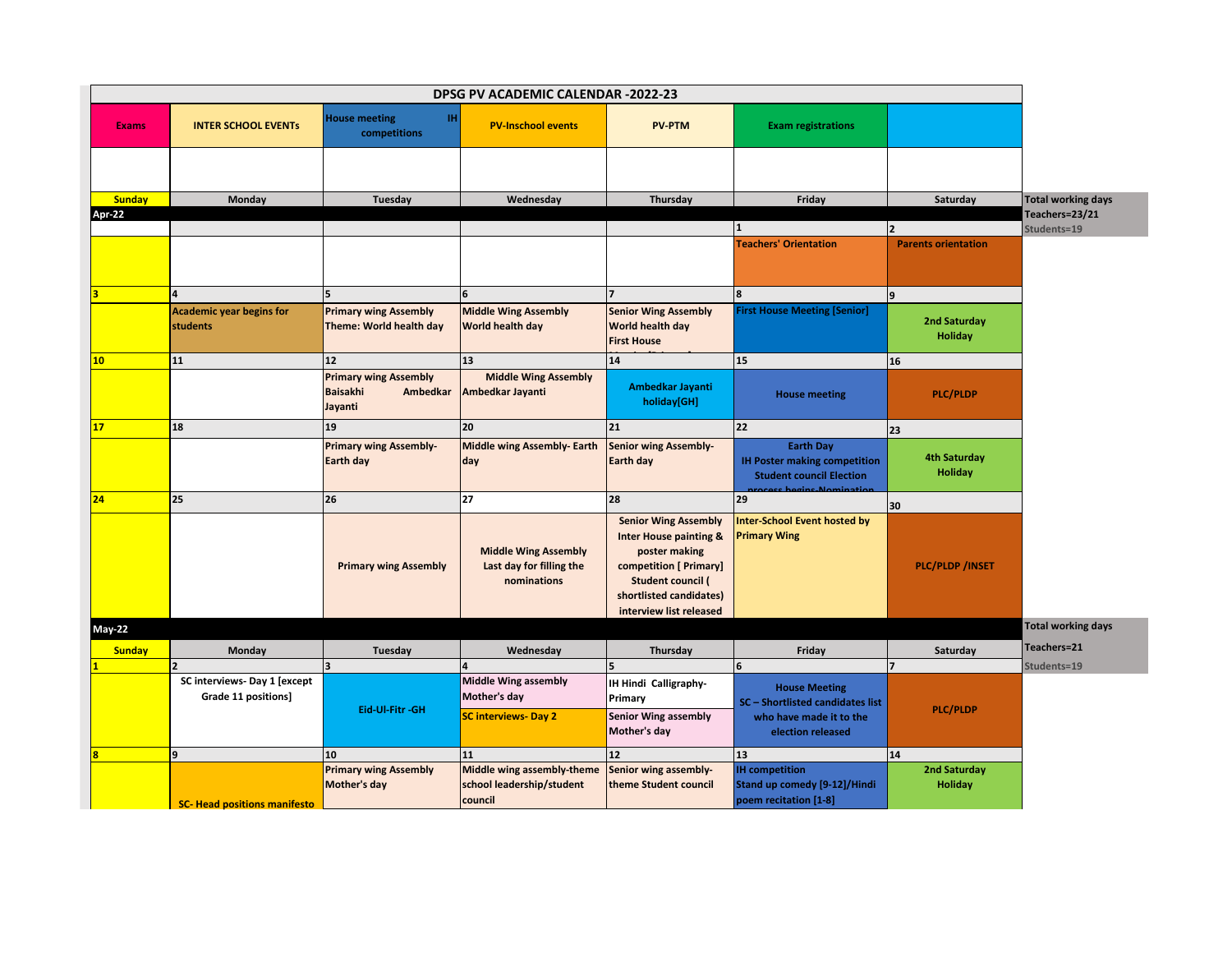| <b>House meeting</b><br>TH.<br><b>PV-Inschool events</b><br><b>PV-PTM</b><br><b>Exams</b><br><b>INTER SCHOOL EVENTS</b><br><b>Exam registrations</b><br>competitions<br><b>Sunday</b><br>Monday<br>Tuesday<br>Wednesday<br>Thursday<br>Friday<br>Saturday<br>Apr-22<br>$\overline{2}$<br><b>Teachers' Orientation</b><br><b>Parents orientation</b><br>5<br>9                          | <b>Total working days</b><br>Teachers=23/21<br>Students=19 |
|----------------------------------------------------------------------------------------------------------------------------------------------------------------------------------------------------------------------------------------------------------------------------------------------------------------------------------------------------------------------------------------|------------------------------------------------------------|
|                                                                                                                                                                                                                                                                                                                                                                                        |                                                            |
|                                                                                                                                                                                                                                                                                                                                                                                        |                                                            |
|                                                                                                                                                                                                                                                                                                                                                                                        |                                                            |
|                                                                                                                                                                                                                                                                                                                                                                                        |                                                            |
|                                                                                                                                                                                                                                                                                                                                                                                        |                                                            |
|                                                                                                                                                                                                                                                                                                                                                                                        |                                                            |
|                                                                                                                                                                                                                                                                                                                                                                                        |                                                            |
| <b>Middle Wing Assembly</b><br><b>Senior Wing Assembly</b><br><b>Academic year begins for</b><br><b>Primary wing Assembly</b><br><b>First House Meeting [Senior]</b><br>2nd Saturday<br><b>students</b><br>Theme: World health day<br>World health day<br>World health day<br><b>Holiday</b><br><b>First House</b>                                                                     |                                                            |
| 12 <sup>2</sup><br>13<br>14<br>10 <sub>1</sub><br>11<br>15<br>16                                                                                                                                                                                                                                                                                                                       |                                                            |
| <b>Middle Wing Assembly</b><br><b>Primary wing Assembly</b><br>Ambedkar Jayanti<br>Ambedkar Jayanti<br><b>Baisakhi</b><br>Ambedkar<br><b>House meeting</b><br><b>PLC/PLDP</b><br>holiday[GH]<br>Jayanti                                                                                                                                                                                |                                                            |
| 18<br>20<br>22<br>17<br>19<br>21<br>23                                                                                                                                                                                                                                                                                                                                                 |                                                            |
| <b>Primary wing Assembly-</b><br><b>Middle wing Assembly- Earth</b><br>Senior wing Assembly-<br><b>Earth Day</b><br><b>4th Saturday</b><br><b>IH Poster making competition</b><br>Earth day<br>day<br>Earth day<br><b>Holiday</b><br><b>Student council Election</b>                                                                                                                   |                                                            |
| 25<br>27<br>28<br>24<br>26<br>29<br>30                                                                                                                                                                                                                                                                                                                                                 |                                                            |
| nter-School Event hosted by<br><b>Senior Wing Assembly</b><br><b>Inter House painting &amp;</b><br><b>Primary Wing</b><br><b>Middle Wing Assembly</b><br>poster making<br><b>Primary wing Assembly</b><br>Last day for filling the<br>competition [ Primary]<br><b>PLC/PLDP/INSET</b><br><b>Student council (</b><br>nominations<br>shortlisted candidates)<br>interview list released |                                                            |
| <b>May-22</b>                                                                                                                                                                                                                                                                                                                                                                          | <b>Total working days</b>                                  |
| <b>Sunday</b><br>Monday<br>Wednesday<br>Thursday<br>Friday<br>Saturday<br>Tuesday                                                                                                                                                                                                                                                                                                      | Teachers=21                                                |
| $\overline{\phantom{a}}$                                                                                                                                                                                                                                                                                                                                                               | Students=19                                                |
| <b>Middle Wing assembly</b><br>SC interviews- Day 1 [except<br>IH Hindi Calligraphy-<br><b>House Meeting</b><br>Grade 11 positions]<br>Mother's day<br>Primary<br>SC - Shortlisted candidates list<br>Eid-Ul-Fitr -GH<br><b>PLC/PLDP</b>                                                                                                                                               |                                                            |
| Senior Wing assembly<br><b>SC interviews- Day 2</b><br>who have made it to the<br>Mother's day<br>election released                                                                                                                                                                                                                                                                    |                                                            |
| 9<br>11<br>12 <sup>2</sup><br>13<br>14<br>10                                                                                                                                                                                                                                                                                                                                           |                                                            |
| <b>IH</b> competition<br><b>Primary wing Assembly</b><br>Middle wing assembly-theme<br>Senior wing assembly-<br>2nd Saturday<br>Mother's day<br>school leadership/student<br>Stand up comedy [9-12]/Hindi<br><b>Holiday</b><br>theme Student council<br>council<br>poem recitation [1-8]<br><b>SC- Head positions manifesto</b>                                                        |                                                            |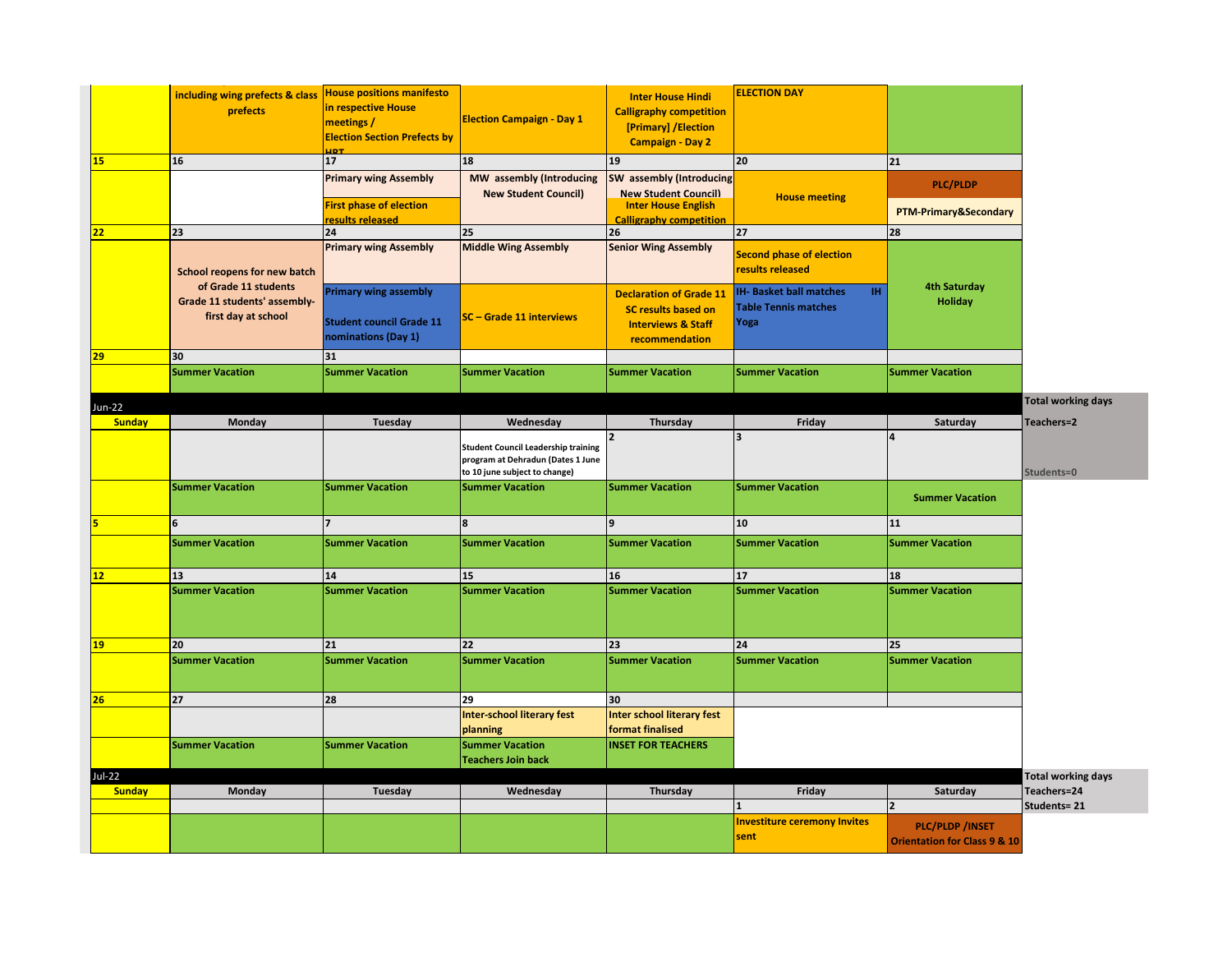|               | including wing prefects & class | <b>House positions manifesto</b>                  |                                                                                                                  | <b>Inter House Hindi</b>                                     | <b>ELECTION DAY</b>                                 |                                                                                       |                           |
|---------------|---------------------------------|---------------------------------------------------|------------------------------------------------------------------------------------------------------------------|--------------------------------------------------------------|-----------------------------------------------------|---------------------------------------------------------------------------------------|---------------------------|
|               | prefects                        | in respective House                               |                                                                                                                  | <b>Calligraphy competition</b>                               |                                                     |                                                                                       |                           |
|               |                                 | meetings /                                        | <b>Election Campaign - Day 1</b>                                                                                 | [Primary] / Election                                         |                                                     |                                                                                       |                           |
|               |                                 | <b>Election Section Prefects by</b><br><b>JDT</b> |                                                                                                                  | <b>Campaign - Day 2</b>                                      |                                                     |                                                                                       |                           |
| <b>15</b>     | 16                              | 17 <sup>2</sup>                                   | 18                                                                                                               | 19                                                           | 20                                                  | 21                                                                                    |                           |
|               |                                 | <b>Primary wing Assembly</b>                      | MW assembly (Introducing<br><b>New Student Council)</b>                                                          | SW assembly (Introducing<br><b>New Student Council)</b>      | <b>House meeting</b>                                | <b>PLC/PLDP</b>                                                                       |                           |
|               |                                 | First phase of election<br>results released       |                                                                                                                  | <b>Inter House English</b><br><b>Calligraphy competition</b> |                                                     | PTM-Primary&Secondary                                                                 |                           |
| 22            | 23                              | 24                                                | 25                                                                                                               | 26                                                           | 27                                                  | 28                                                                                    |                           |
|               | School reopens for new batch    | <b>Primary wing Assembly</b>                      | <b>Middle Wing Assembly</b>                                                                                      | <b>Senior Wing Assembly</b>                                  | <b>Second phase of election</b><br>results released |                                                                                       |                           |
|               | of Grade 11 students            | <b>Primary wing assembly</b>                      |                                                                                                                  | <b>Declaration of Grade 11</b>                               | IH.<br><b>IH- Basket ball matches</b>               | <b>4th Saturday</b>                                                                   |                           |
|               | Grade 11 students' assembly-    |                                                   |                                                                                                                  | <b>SC results based on</b>                                   | <b>Table Tennis matches</b>                         | <b>Holiday</b>                                                                        |                           |
|               | first day at school             | <b>Student council Grade 11</b>                   | SC - Grade 11 interviews                                                                                         | <b>Interviews &amp; Staff</b>                                | Yoga                                                |                                                                                       |                           |
|               |                                 | nominations (Day 1)                               |                                                                                                                  | recommendation                                               |                                                     |                                                                                       |                           |
| 29            | 30                              | 31                                                |                                                                                                                  |                                                              |                                                     |                                                                                       |                           |
|               | <b>Summer Vacation</b>          | <b>Summer Vacation</b>                            | <b>Summer Vacation</b>                                                                                           | <b>Summer Vacation</b>                                       | <b>Summer Vacation</b>                              | <b>Summer Vacation</b>                                                                |                           |
| Jun-22        |                                 |                                                   |                                                                                                                  |                                                              |                                                     |                                                                                       | <b>Total working days</b> |
| <b>Sunday</b> | Monday                          | Tuesday                                           | Wednesday                                                                                                        | Thursday                                                     | Friday                                              | Saturday                                                                              | Teachers=2                |
|               |                                 |                                                   | <b>Student Council Leadership training</b><br>program at Dehradun (Dates 1 June<br>to 10 june subject to change) | $\overline{2}$                                               | 3                                                   |                                                                                       | Students=0                |
|               | <b>Summer Vacation</b>          | <b>Summer Vacation</b>                            | <b>Summer Vacation</b>                                                                                           | <b>Summer Vacation</b>                                       | <b>Summer Vacation</b>                              | <b>Summer Vacation</b>                                                                |                           |
|               | 6                               |                                                   | 8                                                                                                                | 9                                                            | 10                                                  | 11                                                                                    |                           |
|               | <b>Summer Vacation</b>          | <b>Summer Vacation</b>                            | <b>Summer Vacation</b>                                                                                           | <b>Summer Vacation</b>                                       | <b>Summer Vacation</b>                              | <b>Summer Vacation</b>                                                                |                           |
|               |                                 |                                                   |                                                                                                                  |                                                              |                                                     |                                                                                       |                           |
| 12            | 13                              | 14                                                | 15                                                                                                               | 16                                                           | 17                                                  | 18                                                                                    |                           |
|               | <b>Summer Vacation</b>          | <b>Summer Vacation</b>                            | <b>Summer Vacation</b>                                                                                           | <b>Summer Vacation</b>                                       | <b>Summer Vacation</b>                              | <b>Summer Vacation</b>                                                                |                           |
| 19            | 20                              | 21                                                | 22                                                                                                               | 23                                                           | 24                                                  | 25                                                                                    |                           |
|               | <b>Summer Vacation</b>          | <b>Summer Vacation</b>                            | <b>Summer Vacation</b>                                                                                           | <b>Summer Vacation</b>                                       | <b>Summer Vacation</b>                              | <b>Summer Vacation</b>                                                                |                           |
| 26            | 27                              | 28                                                | 29                                                                                                               | 30                                                           |                                                     |                                                                                       |                           |
|               |                                 |                                                   | <b>Inter-school literary fest</b>                                                                                | <b>Inter school literary fest</b>                            |                                                     |                                                                                       |                           |
|               |                                 |                                                   | planning                                                                                                         | format finalised                                             |                                                     |                                                                                       |                           |
|               | <b>Summer Vacation</b>          | <b>Summer Vacation</b>                            | <b>Summer Vacation</b><br><b>Teachers Join back</b>                                                              | <b>INSET FOR TEACHERS</b>                                    |                                                     |                                                                                       |                           |
| Jul-22        |                                 |                                                   |                                                                                                                  |                                                              |                                                     |                                                                                       | <b>Total working days</b> |
| <b>Sunday</b> | Monday                          | Tuesday                                           | Wednesday                                                                                                        | Thursday                                                     | Friday                                              | Saturday                                                                              | Teachers=24               |
|               |                                 |                                                   |                                                                                                                  |                                                              | <b>Investiture ceremony Invites</b><br>sent         | $\overline{\mathbf{z}}$<br>PLC/PLDP /INSET<br><b>Orientation for Class 9 &amp; 10</b> | Students= 21              |
|               |                                 |                                                   |                                                                                                                  |                                                              |                                                     |                                                                                       |                           |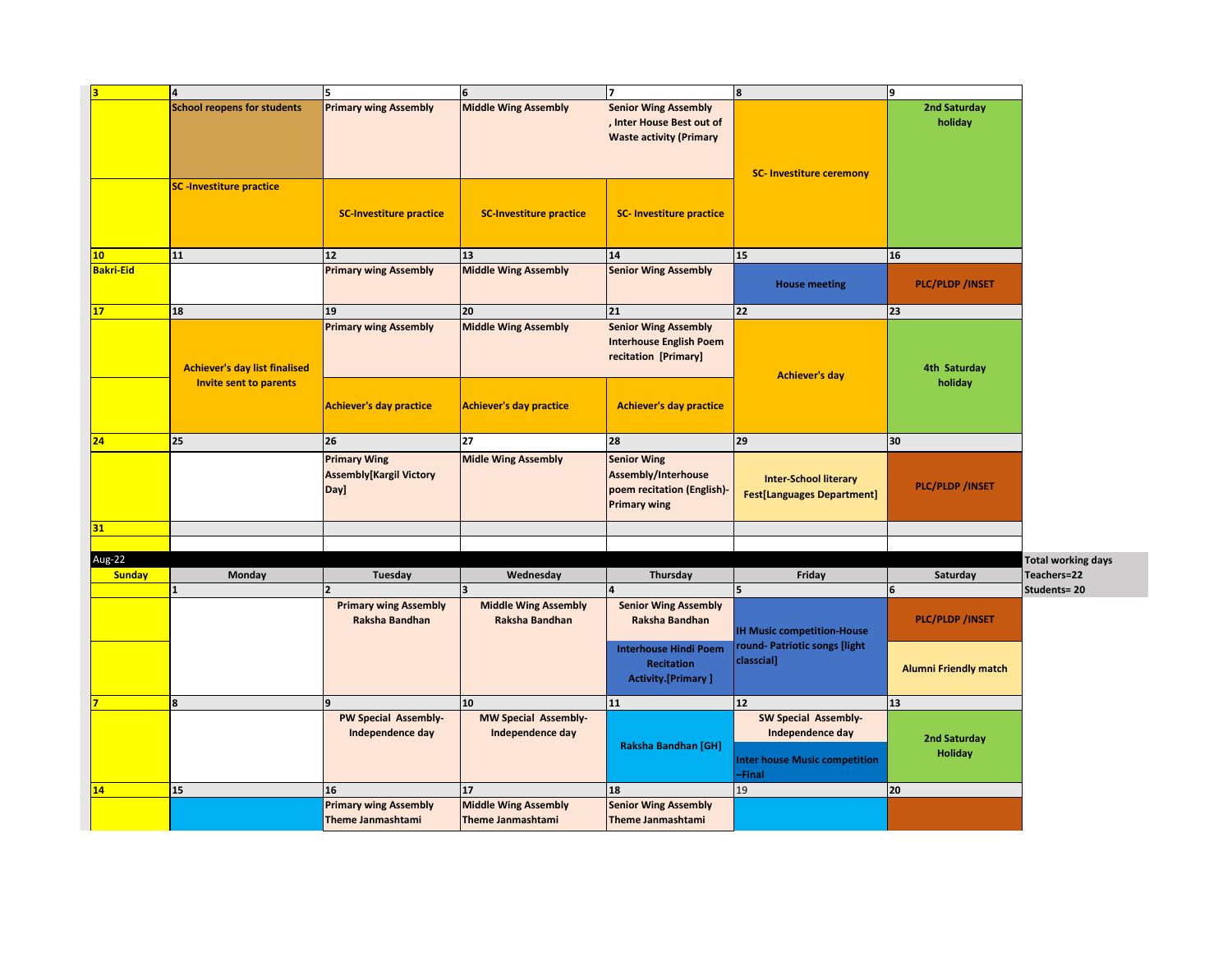| <b>Primary wing Assembly</b><br><b>Middle Wing Assembly</b><br>2nd Saturday<br><b>School reopens for students</b><br><b>Senior Wing Assembly</b><br>, Inter House Best out of<br>holiday<br><b>Waste activity (Primary</b><br><b>SC- Investiture ceremony</b><br><b>SC-Investiture practice</b><br><b>SC-Investiture practice</b><br><b>SC-Investiture practice</b><br><b>SC- Investiture practice</b><br>13<br>14<br>16<br>11<br>12<br>15<br>10 <sub>1</sub><br><b>Bakri-Eid</b><br><b>Primary wing Assembly</b><br><b>Middle Wing Assembly</b><br><b>Senior Wing Assembly</b><br><b>PLC/PLDP/INSET</b><br><b>House meeting</b><br>18<br>21<br>22<br>23<br>19<br>20<br><b>Primary wing Assembly</b><br><b>Middle Wing Assembly</b><br><b>Senior Wing Assembly</b><br><b>Interhouse English Poem</b><br>recitation [Primary]<br><b>Achiever's day list finalised</b><br>4th Saturday<br><b>Achiever's day</b><br>holiday<br><b>Invite sent to parents</b><br><b>Achiever's day practice</b><br><b>Achiever's day practice</b><br><b>Achiever's day practice</b><br>25<br>27<br>28<br>29<br>26<br>30<br>24<br><b>Primary Wing</b><br><b>Senior Wing</b><br><b>Midle Wing Assembly</b><br><b>Assembly[Kargil Victory</b><br>Assembly/Interhouse<br><b>Inter-School literary</b><br><b>PLC/PLDP/INSET</b><br>poem recitation (English)-<br>Day]<br><b>Fest[Languages Department]</b><br><b>Primary wing</b><br>31<br>Aug-22<br>Wednesday<br>Thursday<br><b>Sunday</b><br><b>Monday</b><br>Tuesday<br>Friday<br>Saturday<br>3<br>$6\phantom{1}6$<br>5<br><b>Primary wing Assembly</b><br><b>Middle Wing Assembly</b><br><b>Senior Wing Assembly</b><br><b>PLC/PLDP/INSET</b><br>Raksha Bandhan<br>Raksha Bandhan<br>Raksha Bandhan<br><b>IH Music competition-House</b><br>round- Patriotic songs [light<br><b>Interhouse Hindi Poem</b><br>classcial]<br><b>Recitation</b><br><b>Alumni Friendly match</b><br><b>Activity.[Primary]</b><br>8<br>10<br>11<br>12 <sup>2</sup><br>13<br>PW Special Assembly-<br>MW Special Assembly-<br>SW Special Assembly-<br>Independence day<br>Independence day<br>Independence day<br>2nd Saturday<br><b>Raksha Bandhan [GH]</b><br><b>Holiday</b><br><b>Inter house Music competition</b><br>-Final<br>15<br>19<br>20<br>16<br>17<br>18<br>14<br><b>Primary wing Assembly</b><br><b>Middle Wing Assembly</b><br><b>Senior Wing Assembly</b><br>Theme Janmashtami<br><b>Theme Janmashtami</b><br>Theme Janmashtami | $\overline{4}$ | l5 | $6\phantom{1}$ | 7 | 8 | 9 |                           |
|----------------------------------------------------------------------------------------------------------------------------------------------------------------------------------------------------------------------------------------------------------------------------------------------------------------------------------------------------------------------------------------------------------------------------------------------------------------------------------------------------------------------------------------------------------------------------------------------------------------------------------------------------------------------------------------------------------------------------------------------------------------------------------------------------------------------------------------------------------------------------------------------------------------------------------------------------------------------------------------------------------------------------------------------------------------------------------------------------------------------------------------------------------------------------------------------------------------------------------------------------------------------------------------------------------------------------------------------------------------------------------------------------------------------------------------------------------------------------------------------------------------------------------------------------------------------------------------------------------------------------------------------------------------------------------------------------------------------------------------------------------------------------------------------------------------------------------------------------------------------------------------------------------------------------------------------------------------------------------------------------------------------------------------------------------------------------------------------------------------------------------------------------------------------------------------------------------------------------------------------------------------------------------------------------------------------------------------------------------------------------------------------------------------------------------------------------|----------------|----|----------------|---|---|---|---------------------------|
|                                                                                                                                                                                                                                                                                                                                                                                                                                                                                                                                                                                                                                                                                                                                                                                                                                                                                                                                                                                                                                                                                                                                                                                                                                                                                                                                                                                                                                                                                                                                                                                                                                                                                                                                                                                                                                                                                                                                                                                                                                                                                                                                                                                                                                                                                                                                                                                                                                                    |                |    |                |   |   |   |                           |
|                                                                                                                                                                                                                                                                                                                                                                                                                                                                                                                                                                                                                                                                                                                                                                                                                                                                                                                                                                                                                                                                                                                                                                                                                                                                                                                                                                                                                                                                                                                                                                                                                                                                                                                                                                                                                                                                                                                                                                                                                                                                                                                                                                                                                                                                                                                                                                                                                                                    |                |    |                |   |   |   |                           |
|                                                                                                                                                                                                                                                                                                                                                                                                                                                                                                                                                                                                                                                                                                                                                                                                                                                                                                                                                                                                                                                                                                                                                                                                                                                                                                                                                                                                                                                                                                                                                                                                                                                                                                                                                                                                                                                                                                                                                                                                                                                                                                                                                                                                                                                                                                                                                                                                                                                    |                |    |                |   |   |   |                           |
|                                                                                                                                                                                                                                                                                                                                                                                                                                                                                                                                                                                                                                                                                                                                                                                                                                                                                                                                                                                                                                                                                                                                                                                                                                                                                                                                                                                                                                                                                                                                                                                                                                                                                                                                                                                                                                                                                                                                                                                                                                                                                                                                                                                                                                                                                                                                                                                                                                                    |                |    |                |   |   |   |                           |
|                                                                                                                                                                                                                                                                                                                                                                                                                                                                                                                                                                                                                                                                                                                                                                                                                                                                                                                                                                                                                                                                                                                                                                                                                                                                                                                                                                                                                                                                                                                                                                                                                                                                                                                                                                                                                                                                                                                                                                                                                                                                                                                                                                                                                                                                                                                                                                                                                                                    |                |    |                |   |   |   |                           |
|                                                                                                                                                                                                                                                                                                                                                                                                                                                                                                                                                                                                                                                                                                                                                                                                                                                                                                                                                                                                                                                                                                                                                                                                                                                                                                                                                                                                                                                                                                                                                                                                                                                                                                                                                                                                                                                                                                                                                                                                                                                                                                                                                                                                                                                                                                                                                                                                                                                    |                |    |                |   |   |   |                           |
|                                                                                                                                                                                                                                                                                                                                                                                                                                                                                                                                                                                                                                                                                                                                                                                                                                                                                                                                                                                                                                                                                                                                                                                                                                                                                                                                                                                                                                                                                                                                                                                                                                                                                                                                                                                                                                                                                                                                                                                                                                                                                                                                                                                                                                                                                                                                                                                                                                                    |                |    |                |   |   |   |                           |
|                                                                                                                                                                                                                                                                                                                                                                                                                                                                                                                                                                                                                                                                                                                                                                                                                                                                                                                                                                                                                                                                                                                                                                                                                                                                                                                                                                                                                                                                                                                                                                                                                                                                                                                                                                                                                                                                                                                                                                                                                                                                                                                                                                                                                                                                                                                                                                                                                                                    |                |    |                |   |   |   |                           |
|                                                                                                                                                                                                                                                                                                                                                                                                                                                                                                                                                                                                                                                                                                                                                                                                                                                                                                                                                                                                                                                                                                                                                                                                                                                                                                                                                                                                                                                                                                                                                                                                                                                                                                                                                                                                                                                                                                                                                                                                                                                                                                                                                                                                                                                                                                                                                                                                                                                    |                |    |                |   |   |   |                           |
|                                                                                                                                                                                                                                                                                                                                                                                                                                                                                                                                                                                                                                                                                                                                                                                                                                                                                                                                                                                                                                                                                                                                                                                                                                                                                                                                                                                                                                                                                                                                                                                                                                                                                                                                                                                                                                                                                                                                                                                                                                                                                                                                                                                                                                                                                                                                                                                                                                                    |                |    |                |   |   |   |                           |
|                                                                                                                                                                                                                                                                                                                                                                                                                                                                                                                                                                                                                                                                                                                                                                                                                                                                                                                                                                                                                                                                                                                                                                                                                                                                                                                                                                                                                                                                                                                                                                                                                                                                                                                                                                                                                                                                                                                                                                                                                                                                                                                                                                                                                                                                                                                                                                                                                                                    |                |    |                |   |   |   |                           |
|                                                                                                                                                                                                                                                                                                                                                                                                                                                                                                                                                                                                                                                                                                                                                                                                                                                                                                                                                                                                                                                                                                                                                                                                                                                                                                                                                                                                                                                                                                                                                                                                                                                                                                                                                                                                                                                                                                                                                                                                                                                                                                                                                                                                                                                                                                                                                                                                                                                    |                |    |                |   |   |   | <b>Total working days</b> |
|                                                                                                                                                                                                                                                                                                                                                                                                                                                                                                                                                                                                                                                                                                                                                                                                                                                                                                                                                                                                                                                                                                                                                                                                                                                                                                                                                                                                                                                                                                                                                                                                                                                                                                                                                                                                                                                                                                                                                                                                                                                                                                                                                                                                                                                                                                                                                                                                                                                    |                |    |                |   |   |   | Teachers=22               |
|                                                                                                                                                                                                                                                                                                                                                                                                                                                                                                                                                                                                                                                                                                                                                                                                                                                                                                                                                                                                                                                                                                                                                                                                                                                                                                                                                                                                                                                                                                                                                                                                                                                                                                                                                                                                                                                                                                                                                                                                                                                                                                                                                                                                                                                                                                                                                                                                                                                    |                |    |                |   |   |   | Students=20               |
|                                                                                                                                                                                                                                                                                                                                                                                                                                                                                                                                                                                                                                                                                                                                                                                                                                                                                                                                                                                                                                                                                                                                                                                                                                                                                                                                                                                                                                                                                                                                                                                                                                                                                                                                                                                                                                                                                                                                                                                                                                                                                                                                                                                                                                                                                                                                                                                                                                                    |                |    |                |   |   |   |                           |
|                                                                                                                                                                                                                                                                                                                                                                                                                                                                                                                                                                                                                                                                                                                                                                                                                                                                                                                                                                                                                                                                                                                                                                                                                                                                                                                                                                                                                                                                                                                                                                                                                                                                                                                                                                                                                                                                                                                                                                                                                                                                                                                                                                                                                                                                                                                                                                                                                                                    |                |    |                |   |   |   |                           |
|                                                                                                                                                                                                                                                                                                                                                                                                                                                                                                                                                                                                                                                                                                                                                                                                                                                                                                                                                                                                                                                                                                                                                                                                                                                                                                                                                                                                                                                                                                                                                                                                                                                                                                                                                                                                                                                                                                                                                                                                                                                                                                                                                                                                                                                                                                                                                                                                                                                    |                |    |                |   |   |   |                           |
|                                                                                                                                                                                                                                                                                                                                                                                                                                                                                                                                                                                                                                                                                                                                                                                                                                                                                                                                                                                                                                                                                                                                                                                                                                                                                                                                                                                                                                                                                                                                                                                                                                                                                                                                                                                                                                                                                                                                                                                                                                                                                                                                                                                                                                                                                                                                                                                                                                                    |                |    |                |   |   |   |                           |
|                                                                                                                                                                                                                                                                                                                                                                                                                                                                                                                                                                                                                                                                                                                                                                                                                                                                                                                                                                                                                                                                                                                                                                                                                                                                                                                                                                                                                                                                                                                                                                                                                                                                                                                                                                                                                                                                                                                                                                                                                                                                                                                                                                                                                                                                                                                                                                                                                                                    |                |    |                |   |   |   |                           |
|                                                                                                                                                                                                                                                                                                                                                                                                                                                                                                                                                                                                                                                                                                                                                                                                                                                                                                                                                                                                                                                                                                                                                                                                                                                                                                                                                                                                                                                                                                                                                                                                                                                                                                                                                                                                                                                                                                                                                                                                                                                                                                                                                                                                                                                                                                                                                                                                                                                    |                |    |                |   |   |   |                           |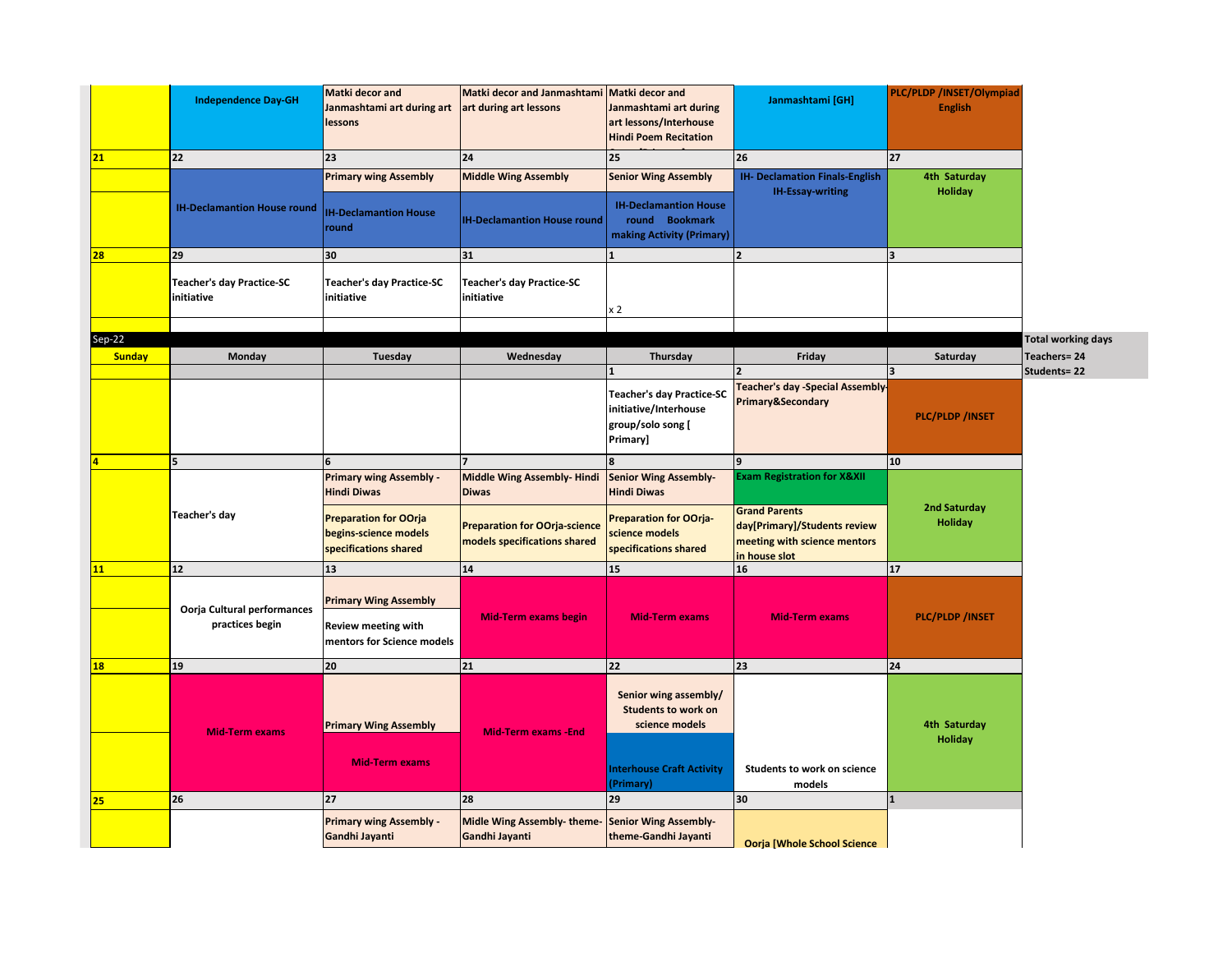|               | <b>Matki decor and</b><br><b>Independence Day-GH</b><br>Janmashtami art during art<br>lessons |                                                                                          | Matki decor and Janmashtami Matki decor and<br>art during art lessons | Janmashtami art during<br>art lessons/Interhouse<br><b>Hindi Poem Recitation</b>                                       | Janmashtami [GH]                                                                                      | PLC/PLDP /INSET/Olympiad<br><b>English</b> |                           |
|---------------|-----------------------------------------------------------------------------------------------|------------------------------------------------------------------------------------------|-----------------------------------------------------------------------|------------------------------------------------------------------------------------------------------------------------|-------------------------------------------------------------------------------------------------------|--------------------------------------------|---------------------------|
| 21            | 22                                                                                            | 23                                                                                       | 24                                                                    | 25                                                                                                                     | 26                                                                                                    | 27                                         |                           |
|               | <b>IH-Declamantion House round</b>                                                            | <b>Primary wing Assembly</b><br><b>IH-Declamantion House</b><br>round                    | <b>Middle Wing Assembly</b><br><b>IH-Declamantion House round</b>     | <b>Senior Wing Assembly</b><br><b>IH-Declamantion House</b><br>round Bookmark<br>making Activity (Primary)             | <b>IH- Declamation Finals-English</b><br><b>IH-Essay-writing</b>                                      | 4th Saturday<br><b>Holiday</b>             |                           |
| 28            | 29                                                                                            | 30                                                                                       | 31                                                                    |                                                                                                                        |                                                                                                       | $\overline{\mathbf{a}}$                    |                           |
|               | Teacher's day Practice-SC<br>initiative                                                       | <b>Teacher's day Practice-SC</b><br>initiative                                           | <b>Teacher's day Practice-SC</b><br>initiative                        | x 2                                                                                                                    |                                                                                                       |                                            |                           |
| $Sep-22$      |                                                                                               |                                                                                          |                                                                       |                                                                                                                        |                                                                                                       |                                            | <b>Total working days</b> |
| <b>Sunday</b> | Monday                                                                                        | Tuesday                                                                                  | Wednesday                                                             | Thursday                                                                                                               | Friday                                                                                                | Saturday                                   | <b>Teachers=24</b>        |
|               |                                                                                               |                                                                                          |                                                                       |                                                                                                                        |                                                                                                       | 3                                          | Students= 22              |
|               |                                                                                               |                                                                                          |                                                                       | <b>Teacher's day Practice-SC</b><br>initiative/Interhouse<br>group/solo song [<br>Primary]                             | <b>Teacher's day -Special Assembly-</b><br>Primary&Secondary                                          | <b>PLC/PLDP/INSET</b>                      |                           |
|               | 5                                                                                             |                                                                                          |                                                                       |                                                                                                                        | q                                                                                                     | 10                                         |                           |
|               |                                                                                               | <b>Primary wing Assembly -</b><br><b>Hindi Diwas</b>                                     | <b>Middle Wing Assembly-Hindi</b><br><b>Diwas</b>                     | <b>Senior Wing Assembly-</b><br><b>Hindi Diwas</b>                                                                     | <b>Exam Registration for X&amp;XII</b>                                                                |                                            |                           |
|               | Teacher's day                                                                                 | <b>Preparation for OOrja</b><br>begins-science models<br>specifications shared           | <b>Preparation for OOrja-science</b><br>models specifications shared  | <b>Preparation for OOrja-</b><br>science models<br>specifications shared                                               | <b>Grand Parents</b><br>day[Primary]/Students review<br>meeting with science mentors<br>in house slot | 2nd Saturday<br><b>Holiday</b>             |                           |
| 11            | 12                                                                                            | 13                                                                                       | 14                                                                    | 15                                                                                                                     | 16                                                                                                    | 17                                         |                           |
|               | Oorja Cultural performances<br>practices begin                                                | <b>Primary Wing Assembly</b><br><b>Review meeting with</b><br>mentors for Science models | <b>Mid-Term exams begin</b>                                           | <b>Mid-Term exams</b>                                                                                                  | <b>Mid-Term exams</b>                                                                                 | PLC/PLDP / INSET                           |                           |
| <b>18</b>     | 19                                                                                            | 20                                                                                       | 21                                                                    | 22                                                                                                                     | 23                                                                                                    | 24                                         |                           |
|               | <b>Mid-Term exams</b>                                                                         | <b>Primary Wing Assembly</b><br><b>Mid-Term exams</b>                                    | <b>Mid-Term exams -End</b>                                            | Senior wing assembly/<br><b>Students to work on</b><br>science models<br><b>Interhouse Craft Activity</b><br>(Primary) | Students to work on science<br>models                                                                 | 4th Saturday<br><b>Holiday</b>             |                           |
| 25            | 26                                                                                            | 27                                                                                       | 28                                                                    | 29                                                                                                                     | 30                                                                                                    | $\mathbf{1}$                               |                           |
|               |                                                                                               | <b>Primary wing Assembly -</b><br>Gandhi Jayanti                                         | Midle Wing Assembly-theme-<br>Gandhi Jayanti                          | <b>Senior Wing Assembly-</b><br>theme-Gandhi Jayanti                                                                   | <b>Ooria [Whole School Science</b>                                                                    |                                            |                           |
|               |                                                                                               |                                                                                          |                                                                       |                                                                                                                        |                                                                                                       |                                            |                           |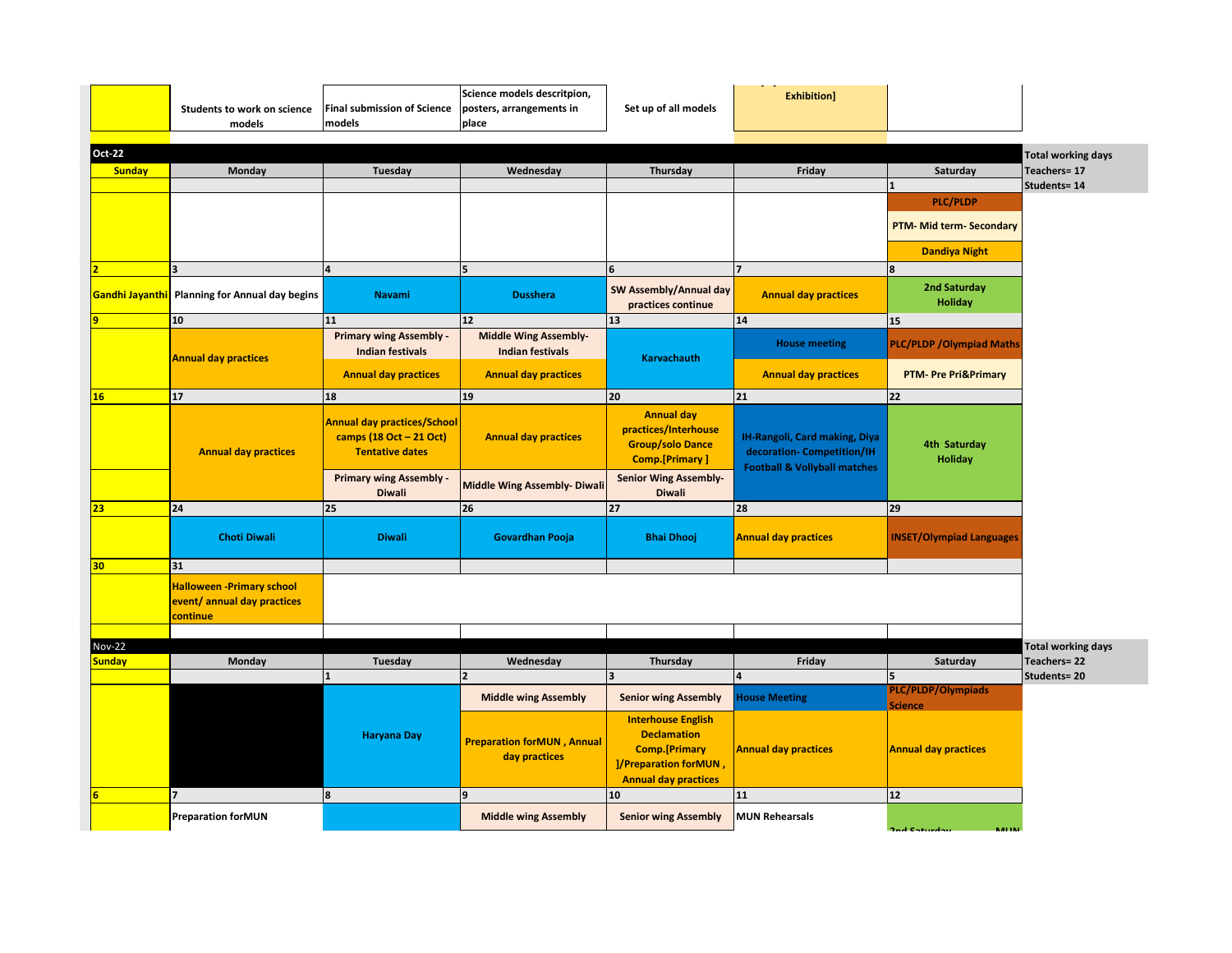|                                | Students to work on science<br>models                                       | Final submission of Science<br>models                                                   | Science models descritpion,<br>posters, arrangements in<br>place | Set up of all models                                                                                                             | <b>Exhibition]</b>                                                                                     |                                      |                                                 |
|--------------------------------|-----------------------------------------------------------------------------|-----------------------------------------------------------------------------------------|------------------------------------------------------------------|----------------------------------------------------------------------------------------------------------------------------------|--------------------------------------------------------------------------------------------------------|--------------------------------------|-------------------------------------------------|
| Oct-22                         |                                                                             |                                                                                         |                                                                  |                                                                                                                                  |                                                                                                        |                                      | <b>Total working days</b>                       |
| <b>Sunday</b>                  | Monday                                                                      | Tuesday                                                                                 | Wednesday                                                        | Thursday                                                                                                                         | Friday                                                                                                 | Saturday                             | Teachers= 17                                    |
|                                |                                                                             |                                                                                         |                                                                  |                                                                                                                                  |                                                                                                        | $\mathbf{1}$                         | Students= 14                                    |
|                                |                                                                             |                                                                                         |                                                                  |                                                                                                                                  |                                                                                                        | <b>PLC/PLDP</b>                      |                                                 |
|                                |                                                                             |                                                                                         |                                                                  |                                                                                                                                  |                                                                                                        | <b>PTM- Mid term- Secondary</b>      |                                                 |
|                                |                                                                             |                                                                                         |                                                                  |                                                                                                                                  |                                                                                                        | <b>Dandiya Night</b>                 |                                                 |
|                                | $\overline{\mathbf{3}}$                                                     |                                                                                         | 5                                                                | 6                                                                                                                                | 17                                                                                                     | 8                                    |                                                 |
|                                | Gandhi Jayanthi Planning for Annual day begins                              | <b>Navami</b>                                                                           | <b>Dusshera</b>                                                  | SW Assembly/Annual day<br>practices continue                                                                                     | <b>Annual day practices</b>                                                                            | 2nd Saturday<br><b>Holiday</b>       |                                                 |
|                                | 10                                                                          | 11                                                                                      | 12                                                               | 13                                                                                                                               | 14                                                                                                     | 15                                   |                                                 |
|                                | <b>Annual day practices</b>                                                 | <b>Primary wing Assembly -</b><br><b>Indian festivals</b>                               | <b>Middle Wing Assembly-</b><br><b>Indian festivals</b>          | <b>Karvachauth</b>                                                                                                               | <b>House meeting</b>                                                                                   | <b>PLC/PLDP/Olympiad Maths</b>       |                                                 |
|                                |                                                                             | <b>Annual day practices</b>                                                             | <b>Annual day practices</b>                                      |                                                                                                                                  | <b>Annual day practices</b>                                                                            | <b>PTM- Pre Pri&amp;Primary</b>      |                                                 |
| 16                             | 17                                                                          | 18                                                                                      | 19                                                               | 20                                                                                                                               | 21                                                                                                     | 22                                   |                                                 |
|                                | <b>Annual day practices</b>                                                 | <b>Annual day practices/School</b><br>camps (18 Oct - 21 Oct)<br><b>Tentative dates</b> | <b>Annual day practices</b>                                      | <b>Annual day</b><br>practices/Interhouse<br><b>Group/solo Dance</b><br><b>Comp.</b> [Primary]                                   | IH-Rangoli, Card making, Diya<br>decoration- Competition/IH<br><b>Football &amp; Vollyball matches</b> | 4th Saturday<br><b>Holiday</b>       |                                                 |
|                                |                                                                             | <b>Primary wing Assembly -</b><br><b>Diwali</b>                                         | <b>Middle Wing Assembly- Diwali</b>                              | <b>Senior Wing Assembly-</b><br><b>Diwali</b>                                                                                    |                                                                                                        |                                      |                                                 |
| 23                             | 24                                                                          | 25                                                                                      | 26                                                               | 27                                                                                                                               | 28                                                                                                     | 29                                   |                                                 |
|                                | <b>Choti Diwali</b>                                                         | <b>Diwali</b>                                                                           | <b>Govardhan Pooja</b>                                           | <b>Bhai Dhooj</b>                                                                                                                | <b>Annual day practices</b>                                                                            | <b>INSET/Olympiad Languages</b>      |                                                 |
| 30                             | 31                                                                          |                                                                                         |                                                                  |                                                                                                                                  |                                                                                                        |                                      |                                                 |
|                                | <b>Halloween -Primary school</b><br>event/ annual day practices<br>continue |                                                                                         |                                                                  |                                                                                                                                  |                                                                                                        |                                      |                                                 |
|                                |                                                                             |                                                                                         |                                                                  |                                                                                                                                  |                                                                                                        |                                      |                                                 |
| <b>Nov-22</b><br><b>Sunday</b> | Monday                                                                      | Tuesday                                                                                 | Wednesday                                                        | Thursday                                                                                                                         | Friday                                                                                                 | Saturday                             | <b>Total working days</b><br><b>Teachers=22</b> |
|                                |                                                                             |                                                                                         | $\overline{\phantom{a}}$                                         |                                                                                                                                  |                                                                                                        | 5                                    | Students=20                                     |
|                                |                                                                             |                                                                                         | <b>Middle wing Assembly</b>                                      | <b>Senior wing Assembly</b>                                                                                                      | <b>House Meeting</b>                                                                                   | PLC/PLDP/Olympiads<br><b>Science</b> |                                                 |
|                                |                                                                             | <b>Haryana Day</b>                                                                      | <b>Preparation forMUN, Annual</b><br>day practices               | <b>Interhouse English</b><br><b>Declamation</b><br><b>Comp.</b> [Primary<br>]/Preparation forMUN,<br><b>Annual day practices</b> | <b>Annual day practices</b>                                                                            | <b>Annual day practices</b>          |                                                 |
|                                | 7                                                                           | 8                                                                                       | l9                                                               | 10                                                                                                                               | 11                                                                                                     | 12                                   |                                                 |
|                                | <b>Preparation forMUN</b>                                                   |                                                                                         | <b>Middle wing Assembly</b>                                      | <b>Senior wing Assembly</b>                                                                                                      | <b>MUN Rehearsals</b>                                                                                  |                                      |                                                 |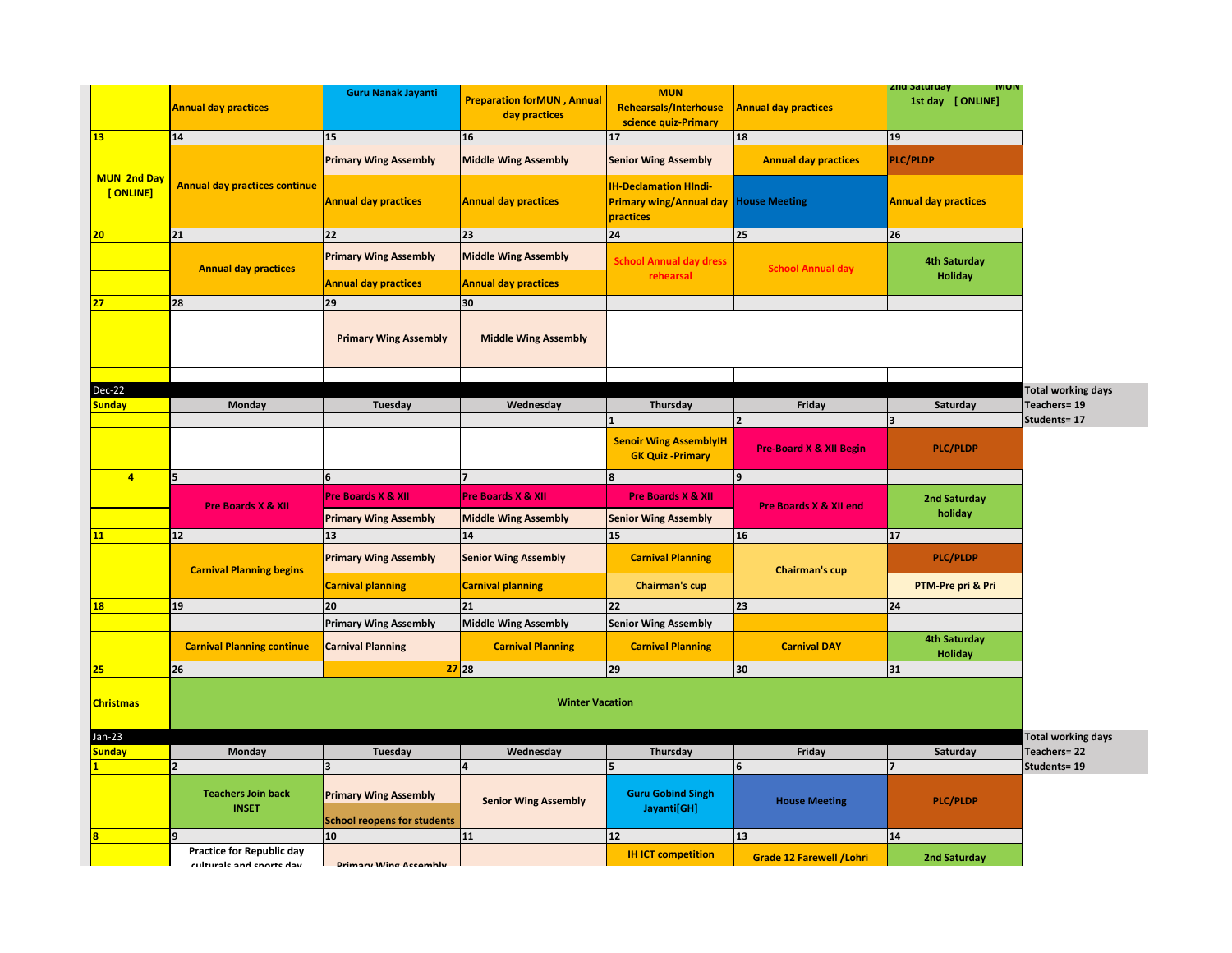|                                | <b>Annual day practices</b>                 | <b>Guru Nanak Jayanti</b>                               | <b>Preparation forMUN, Annual</b><br>day practices | <b>MUN</b><br><b>Rehearsals/Interhouse</b><br>science quiz-Primary          | <b>Annual day practices</b>        | zna saturday<br><b>IVIUIV</b><br>1st day [ ONLINE] |
|--------------------------------|---------------------------------------------|---------------------------------------------------------|----------------------------------------------------|-----------------------------------------------------------------------------|------------------------------------|----------------------------------------------------|
| <b>13</b>                      | 14                                          | 15                                                      | 16                                                 | 17                                                                          | 18                                 | 19                                                 |
|                                |                                             | <b>Primary Wing Assembly</b>                            | <b>Middle Wing Assembly</b>                        | <b>Senior Wing Assembly</b>                                                 | <b>Annual day practices</b>        | <b>PLC/PLDP</b>                                    |
| <b>MUN 2nd Day</b><br>[ONLINE] | <b>Annual day practices continue</b>        | <b>Annual day practices</b>                             | <b>Annual day practices</b>                        | <b>IH-Declamation HIndi-</b><br><b>Primary wing/Annual day</b><br>practices | <b>House Meeting</b>               | <b>Annual day practices</b>                        |
| 20                             | 21                                          | 22                                                      | 23                                                 | 24                                                                          | 25                                 | 26                                                 |
|                                | <b>Annual day practices</b>                 | <b>Primary Wing Assembly</b>                            | <b>Middle Wing Assembly</b>                        | <b>School Annual day dress</b><br>rehearsal                                 | <b>School Annual day</b>           | <b>4th Saturday</b><br><b>Holiday</b>              |
|                                |                                             | <b>Annual day practices</b>                             | <b>Annual day practices</b>                        |                                                                             |                                    |                                                    |
| 27                             | 28                                          | 29                                                      | 30                                                 |                                                                             |                                    |                                                    |
|                                |                                             | <b>Primary Wing Assembly</b>                            | <b>Middle Wing Assembly</b>                        |                                                                             |                                    |                                                    |
|                                |                                             |                                                         |                                                    |                                                                             |                                    |                                                    |
| Dec-22                         |                                             |                                                         |                                                    |                                                                             |                                    | <b>Total working days</b>                          |
| <b>Sunday</b>                  | Monday                                      | Tuesday                                                 | Wednesday                                          | Thursday                                                                    | Friday                             | Teachers= 19<br>Saturday                           |
|                                |                                             |                                                         |                                                    |                                                                             | $\overline{\mathbf{z}}$            | Students= 17                                       |
|                                |                                             |                                                         |                                                    | <b>Senoir Wing AssemblyIH</b><br><b>GK Quiz -Primary</b>                    | <b>Pre-Board X &amp; XII Begin</b> | <b>PLC/PLDP</b>                                    |
| $\overline{4}$                 | 5                                           | 6                                                       | 7                                                  | 8                                                                           | 9                                  |                                                    |
|                                | <b>Pre Boards X &amp; XII</b>               | <b>Pre Boards X &amp; XII</b>                           | Pre Boards X & XII                                 | <b>Pre Boards X &amp; XII</b>                                               | <b>Pre Boards X &amp; XII end</b>  | <b>2nd Saturday</b><br>holiday                     |
|                                |                                             | <b>Primary Wing Assembly</b>                            | <b>Middle Wing Assembly</b>                        | <b>Senior Wing Assembly</b>                                                 |                                    |                                                    |
|                                | 12                                          | 13                                                      | 14                                                 | 15                                                                          | 16                                 | 17                                                 |
|                                |                                             | <b>Primary Wing Assembly</b>                            |                                                    |                                                                             |                                    |                                                    |
|                                | <b>Carnival Planning begins</b>             |                                                         | <b>Senior Wing Assembly</b>                        | <b>Carnival Planning</b>                                                    | <b>Chairman's cup</b>              | <b>PLC/PLDP</b>                                    |
|                                |                                             | <b>Carnival planning</b>                                | <b>Carnival planning</b>                           | <b>Chairman's cup</b>                                                       |                                    | PTM-Pre pri & Pri                                  |
| <b>18</b>                      | 19                                          | 20                                                      | 21                                                 | 22                                                                          | 23                                 | 24                                                 |
|                                |                                             | <b>Primary Wing Assembly</b>                            | <b>Middle Wing Assembly</b>                        | <b>Senior Wing Assembly</b>                                                 |                                    |                                                    |
|                                | <b>Carnival Planning continue</b>           | <b>Carnival Planning</b>                                | <b>Carnival Planning</b>                           | <b>Carnival Planning</b>                                                    | <b>Carnival DAY</b>                | <b>4th Saturday</b><br><b>Holiday</b>              |
| 25                             | 26                                          |                                                         | $27$ 28                                            | 29                                                                          | 30                                 | 31                                                 |
| <b>Christmas</b>               |                                             |                                                         | <b>Winter Vacation</b>                             |                                                                             |                                    |                                                    |
| $Jan-23$                       |                                             |                                                         |                                                    |                                                                             |                                    | <b>Total working days</b>                          |
| <b>Sunday</b>                  | Monday                                      | Tuesday                                                 | Wednesday                                          | Thursday                                                                    | Friday                             | Teachers=22<br>Saturday                            |
|                                | $\overline{2}$<br><b>Teachers Join back</b> | $\overline{\mathbf{3}}$<br><b>Primary Wing Assembly</b> | <b>Senior Wing Assembly</b>                        | 5<br><b>Guru Gobind Singh</b>                                               | 6<br><b>House Meeting</b>          | Students= 19<br><b>PLC/PLDP</b>                    |
|                                | <b>INSET</b>                                | <b>School reopens for students</b>                      |                                                    | Jayanti[GH]                                                                 |                                    |                                                    |
|                                |                                             | 10                                                      | 11                                                 | 12                                                                          | 13                                 | 14                                                 |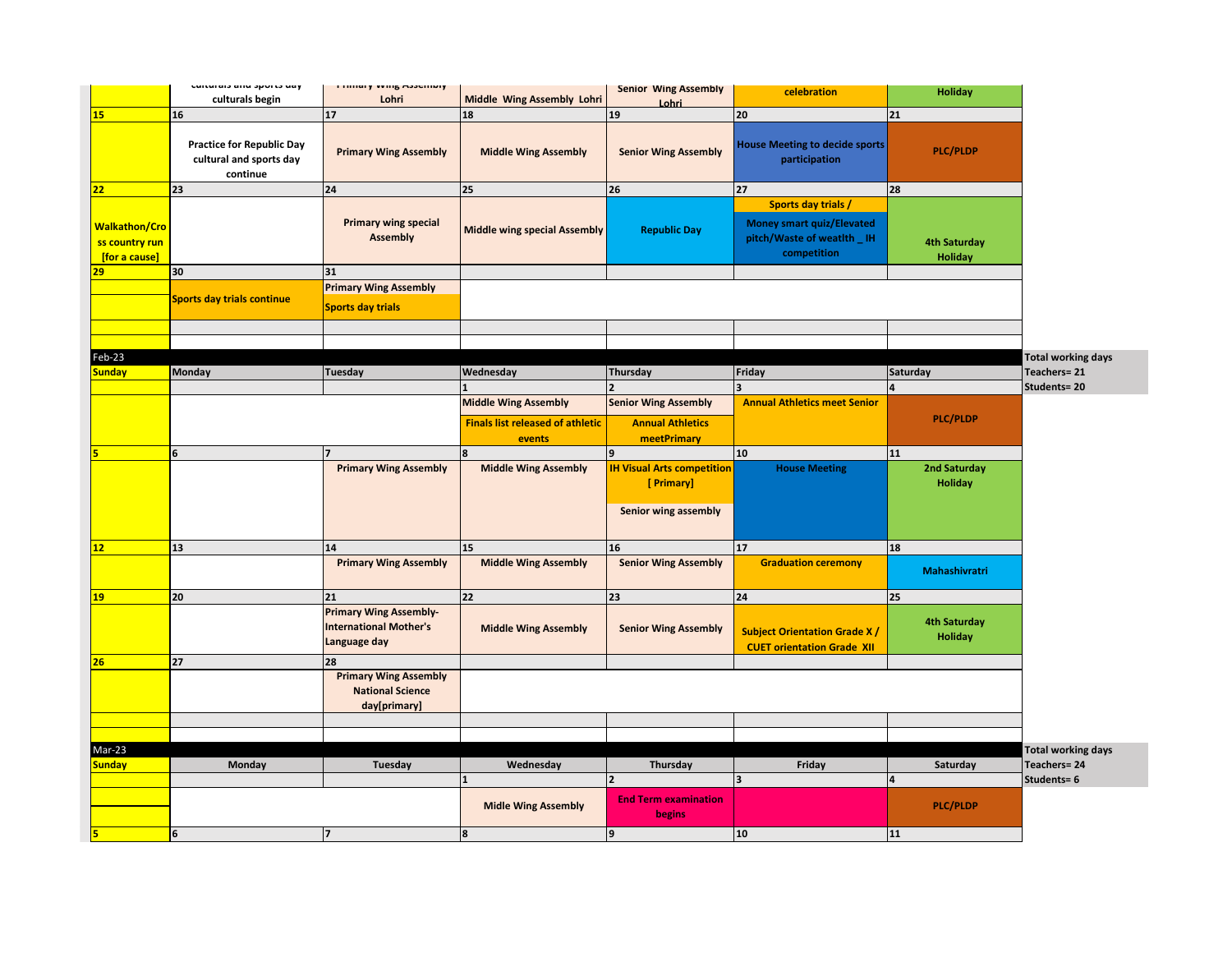|                                                         | culturals allu sports uay                                               | <b>Fillingly VVIIIS MODELLINIY</b>                                             |                                                                                  | <b>Senior Wing Assembly</b>                                             | celebration                                                                                    | <b>Holiday</b>                        |                                                 |
|---------------------------------------------------------|-------------------------------------------------------------------------|--------------------------------------------------------------------------------|----------------------------------------------------------------------------------|-------------------------------------------------------------------------|------------------------------------------------------------------------------------------------|---------------------------------------|-------------------------------------------------|
|                                                         | culturals begin                                                         | Lohri                                                                          | <b>Middle Wing Assembly Lohri</b>                                                | Lohri                                                                   |                                                                                                |                                       |                                                 |
| <b>15</b>                                               | 16                                                                      | 17                                                                             | 18                                                                               | 19                                                                      | 20                                                                                             | 21                                    |                                                 |
|                                                         | <b>Practice for Republic Day</b><br>cultural and sports day<br>continue | <b>Primary Wing Assembly</b>                                                   | <b>Middle Wing Assembly</b>                                                      | <b>Senior Wing Assembly</b>                                             | <b>House Meeting to decide sports</b><br>participation                                         | <b>PLC/PLDP</b>                       |                                                 |
| 22                                                      | 23                                                                      | 24                                                                             | 25                                                                               | 26                                                                      | 27                                                                                             | 28                                    |                                                 |
| <b>Walkathon/Cro</b><br>ss country run<br>[for a cause] |                                                                         | <b>Primary wing special</b><br><b>Assembly</b>                                 | <b>Middle wing special Assembly</b>                                              | <b>Republic Day</b>                                                     | Sports day trials /<br>Money smart quiz/Elevated<br>pitch/Waste of weatlth _ IH<br>competition | <b>4th Saturday</b><br><b>Holiday</b> |                                                 |
| 29                                                      | 30                                                                      | 31                                                                             |                                                                                  |                                                                         |                                                                                                |                                       |                                                 |
|                                                         | Sports day trials continue                                              | <b>Primary Wing Assembly</b><br><b>Sports day trials</b>                       |                                                                                  |                                                                         |                                                                                                |                                       |                                                 |
|                                                         |                                                                         |                                                                                |                                                                                  |                                                                         |                                                                                                |                                       |                                                 |
| Feb-23                                                  |                                                                         |                                                                                |                                                                                  |                                                                         |                                                                                                |                                       | <b>Total working days</b>                       |
| <b>Sunday</b>                                           | Monday                                                                  | <b>Tuesday</b>                                                                 | Wednesday                                                                        | Thursday                                                                | Friday                                                                                         | Saturday                              | Teachers=21                                     |
|                                                         |                                                                         |                                                                                |                                                                                  | $\overline{\phantom{a}}$                                                | $\overline{\mathbf{z}}$                                                                        |                                       | Students= 20                                    |
|                                                         |                                                                         |                                                                                | <b>Middle Wing Assembly</b><br><b>Finals list released of athletic</b><br>events | <b>Senior Wing Assembly</b><br><b>Annual Athletics</b><br>meetPrimary   | <b>Annual Athletics meet Senior</b>                                                            | <b>PLC/PLDP</b>                       |                                                 |
|                                                         | 6                                                                       | $\overline{\phantom{a}}$                                                       | R                                                                                | $\overline{9}$                                                          | 10 <sub>10</sub>                                                                               | 11                                    |                                                 |
|                                                         |                                                                         | <b>Primary Wing Assembly</b>                                                   | <b>Middle Wing Assembly</b>                                                      | <b>IH Visual Arts competition</b><br>[ Primary]<br>Senior wing assembly | <b>House Meeting</b>                                                                           | 2nd Saturday<br><b>Holiday</b>        |                                                 |
| 12                                                      | 13                                                                      | 14                                                                             | 15                                                                               | 16                                                                      | 17                                                                                             | 18                                    |                                                 |
|                                                         |                                                                         | <b>Primary Wing Assembly</b>                                                   | <b>Middle Wing Assembly</b>                                                      | <b>Senior Wing Assembly</b>                                             | <b>Graduation ceremony</b>                                                                     | Mahashivratri                         |                                                 |
| <b>19</b>                                               | 20                                                                      | 21                                                                             | 22                                                                               | 23                                                                      | 24                                                                                             | 25                                    |                                                 |
|                                                         |                                                                         | <b>Primary Wing Assembly-</b><br><b>International Mother's</b><br>Language day | <b>Middle Wing Assembly</b>                                                      | <b>Senior Wing Assembly</b>                                             | <b>Subject Orientation Grade X/</b><br><b>CUET orientation Grade XII</b>                       | <b>4th Saturday</b><br><b>Holiday</b> |                                                 |
| 26                                                      | 27                                                                      | 28                                                                             |                                                                                  |                                                                         |                                                                                                |                                       |                                                 |
|                                                         |                                                                         | <b>Primary Wing Assembly</b><br><b>National Science</b><br>day[primary]        |                                                                                  |                                                                         |                                                                                                |                                       |                                                 |
|                                                         |                                                                         |                                                                                |                                                                                  |                                                                         |                                                                                                |                                       |                                                 |
| Mar-23                                                  |                                                                         |                                                                                |                                                                                  |                                                                         |                                                                                                |                                       |                                                 |
|                                                         |                                                                         |                                                                                |                                                                                  |                                                                         |                                                                                                |                                       | <b>Total working days</b><br><b>Teachers=24</b> |
| <b>Sunday</b>                                           | Monday                                                                  | Tuesday                                                                        | Wednesday                                                                        | Thursday<br>$\overline{\phantom{a}}$                                    | Friday<br>3                                                                                    | Saturday                              | Students= 6                                     |
|                                                         |                                                                         |                                                                                |                                                                                  | <b>End Term examination</b>                                             |                                                                                                |                                       |                                                 |
|                                                         |                                                                         |                                                                                | <b>Midle Wing Assembly</b>                                                       | begins                                                                  |                                                                                                | <b>PLC/PLDP</b>                       |                                                 |